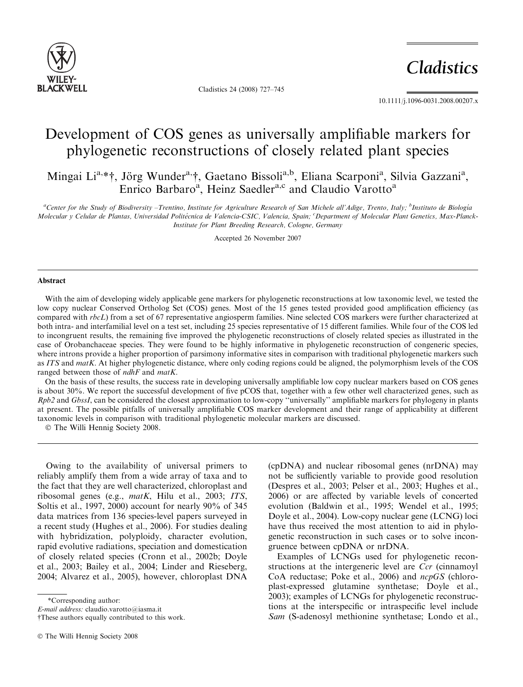

Cladistics 24 (2008) 727–745

Cladistics

10.1111/j.1096-0031.2008.00207.x

# Development of COS genes as universally amplifiable markers for phylogenetic reconstructions of closely related plant species

Mingai Li<sup>a,\*</sup>†, Jörg Wunder<sup>a,</sup>†, Gaetano Bissoli<sup>a,b</sup>, Eliana Scarponi<sup>a</sup>, Silvia Gazzani<sup>a</sup>, Enrico Barbaro<sup>a</sup>, Heinz Saedler<sup>a,c</sup> and Claudio Varotto<sup>a</sup>

<sup>a</sup>Center for the Study of Biodiversity –Trentino, Institute for Agriculture Research of San Michele all'Adige, Trento, Italy; <sup>b</sup>Instituto de Biología Molecular y Celular de Plantas, Universidad Politécnica de Valencia-CSIC, Valencia, Spain; <sup>c</sup>Department of Molecular Plant Genetics, Max-Planck-Institute for Plant Breeding Research, Cologne, Germany

Accepted 26 November 2007

#### Abstract

With the aim of developing widely applicable gene markers for phylogenetic reconstructions at low taxonomic level, we tested the low copy nuclear Conserved Ortholog Set (COS) genes. Most of the 15 genes tested provided good amplification efficiency (as compared with rbcL) from a set of 67 representative angiosperm families. Nine selected COS markers were further characterized at both intra- and interfamilial level on a test set, including 25 species representative of 15 different families. While four of the COS led to incongruent results, the remaining five improved the phylogenetic reconstructions of closely related species as illustrated in the case of Orobanchaceae species. They were found to be highly informative in phylogenetic reconstruction of congeneric species, where introns provide a higher proportion of parsimony informative sites in comparison with traditional phylogenetic markers such as ITS and matK. At higher phylogenetic distance, where only coding regions could be aligned, the polymorphism levels of the COS ranged between those of *ndhF* and *matK*.

On the basis of these results, the success rate in developing universally amplifiable low copy nuclear markers based on COS genes is about 30%. We report the successful development of five pCOS that, together with a few other well characterized genes, such as Rpb2 and GbssI, can be considered the closest approximation to low-copy "universally" amplifiable markers for phylogeny in plants at present. The possible pitfalls of universally amplifiable COS marker development and their range of applicability at different taxonomic levels in comparison with traditional phylogenetic molecular markers are discussed.

- The Willi Hennig Society 2008.

Owing to the availability of universal primers to reliably amplify them from a wide array of taxa and to the fact that they are well characterized, chloroplast and ribosomal genes (e.g., matK, Hilu et al., 2003; ITS, Soltis et al., 1997, 2000) account for nearly 90% of 345 data matrices from 136 species-level papers surveyed in a recent study (Hughes et al., 2006). For studies dealing with hybridization, polyploidy, character evolution, rapid evolutive radiations, speciation and domestication of closely related species (Cronn et al., 2002b; Doyle et al., 2003; Bailey et al., 2004; Linder and Rieseberg, 2004; Alvarez et al., 2005), however, chloroplast DNA

\*Corresponding author:

E-mail address: claudio.varotto@iasma.it

-These authors equally contributed to this work.

(cpDNA) and nuclear ribosomal genes (nrDNA) may not be sufficiently variable to provide good resolution (Despres et al., 2003; Pelser et al., 2003; Hughes et al., 2006) or are affected by variable levels of concerted evolution (Baldwin et al., 1995; Wendel et al., 1995; Doyle et al., 2004). Low-copy nuclear gene (LCNG) loci have thus received the most attention to aid in phylogenetic reconstruction in such cases or to solve incongruence between cpDNA or nrDNA.

Examples of LCNGs used for phylogenetic reconstructions at the intergeneric level are Ccr (cinnamoyl CoA reductase; Poke et al., 2006) and ncpGS (chloroplast-expressed glutamine synthetase; Doyle et al., 2003); examples of LCNGs for phylogenetic reconstructions at the interspecific or intraspecific level include Sam (S-adenosyl methionine synthetase; Londo et al.,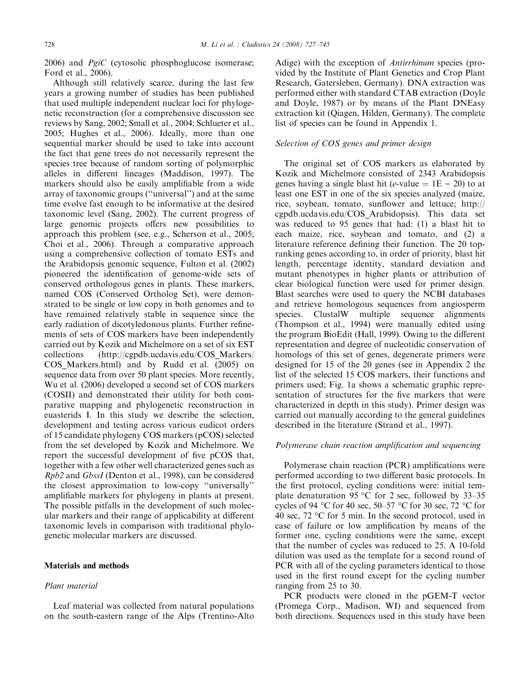$2006$ ) and  $PgiC$  (cytosolic phosphoglucose isomerase; Ford et al., 2006).

Although still relatively scarce, during the last few years a growing number of studies has been published that used multiple independent nuclear loci for phylogenetic reconstruction (for a comprehensive discussion see reviews by Sang, 2002; Small et al., 2004; Schlueter et al., 2005; Hughes et al., 2006). Ideally, more than one sequential marker should be used to take into account the fact that gene trees do not necessarily represent the species tree because of random sorting of polymorphic alleles in different lineages (Maddison, 1997). The markers should also be easily amplifiable from a wide array of taxonomic groups (''universal'') and at the same time evolve fast enough to be informative at the desired taxonomic level (Sang, 2002). The current progress of large genomic projects offers new possibilities to approach this problem (see, e.g., Scherson et al., 2005; Choi et al., 2006). Through a comparative approach using a comprehensive collection of tomato ESTs and the Arabidopsis genomic sequence, Fulton et al. (2002) pioneered the identification of genome-wide sets of conserved orthologous genes in plants. These markers, named COS (Conserved Ortholog Set), were demonstrated to be single or low copy in both genomes and to have remained relatively stable in sequence since the early radiation of dicotyledonous plants. Further refinements of sets of COS markers have been independently carried out by Kozik and Michelmore on a set of six EST collections (http://cgpdb.ucdavis.edu/COS\_Markers/ COS\_Markers.html) and by Rudd et al. (2005) on sequence data from over 50 plant species. More recently, Wu et al. (2006) developed a second set of COS markers (COSII) and demonstrated their utility for both comparative mapping and phylogenetic reconstruction in euasterids I. In this study we describe the selection, development and testing across various eudicot orders of 15 candidate phylogeny COS markers (pCOS) selected from the set developed by Kozik and Michelmore. We report the successful development of five pCOS that, together with a few other well characterized genes such as Rpb2 and GbssI (Denton et al., 1998), can be considered the closest approximation to low-copy ''universally'' amplifiable markers for phylogeny in plants at present. The possible pitfalls in the development of such molecular markers and their range of applicability at different taxonomic levels in comparison with traditional phylogenetic molecular markers are discussed.

#### Materials and methods

#### Plant material

Leaf material was collected from natural populations on the south-eastern range of the Alps (Trentino-Alto

Adige) with the exception of Antirrhinum species (provided by the Institute of Plant Genetics and Crop Plant Research, Gatersleben, Germany). DNA extraction was performed either with standard CTAB extraction (Doyle and Doyle, 1987) or by means of the Plant DNEasy extraction kit (Qiagen, Hilden, Germany). The complete list of species can be found in Appendix 1.

#### Selection of COS genes and primer design

The original set of COS markers as elaborated by Kozik and Michelmore consisted of 2343 Arabidopsis genes having a single blast hit (e-value  $= 1E - 20$ ) to at least one EST in one of the six species analyzed (maize, rice, soybean, tomato, sunflower and lettuce; http:// cgpdb.ucdavis.edu/COS\_Arabidopsis). This data set was reduced to 95 genes that had: (1) a blast hit to each maize, rice, soybean and tomato, and (2) a literature reference defining their function. The 20 topranking genes according to, in order of priority, blast hit length, percentage identity, standard deviation and mutant phenotypes in higher plants or attribution of clear biological function were used for primer design. Blast searches were used to query the NCBI databases and retrieve homologous sequences from angiosperm species. ClustalW multiple sequence alignments (Thompson et al., 1994) were manually edited using the program BioEdit (Hall, 1999). Owing to the different representation and degree of nucleotidic conservation of homologs of this set of genes, degenerate primers were designed for 15 of the 20 genes (see in Appendix 2 the list of the selected 15 COS markers, their functions and primers used; Fig. 1a shows a schematic graphic representation of structures for the five markers that were characterized in depth in this study). Primer design was carried out manually according to the general guidelines described in the literature (Strand et al., 1997).

#### Polymerase chain reaction amplification and sequencing

Polymerase chain reaction (PCR) amplifications were performed according to two different basic protocols. In the first protocol, cycling conditions were: initial template denaturation 95 °C for 2 sec, followed by  $33-35$ cycles of 94 °C for 40 sec,  $50-57$  °C for 30 sec,  $72$  °C for 40 sec,  $72 \text{ °C}$  for 5 min. In the second protocol, used in case of failure or low amplification by means of the former one, cycling conditions were the same, except that the number of cycles was reduced to 25. A 10-fold dilution was used as the template for a second round of PCR with all of the cycling parameters identical to those used in the first round except for the cycling number ranging from 25 to 30.

PCR products were cloned in the pGEM-T vector (Promega Corp., Madison, WI) and sequenced from both directions. Sequences used in this study have been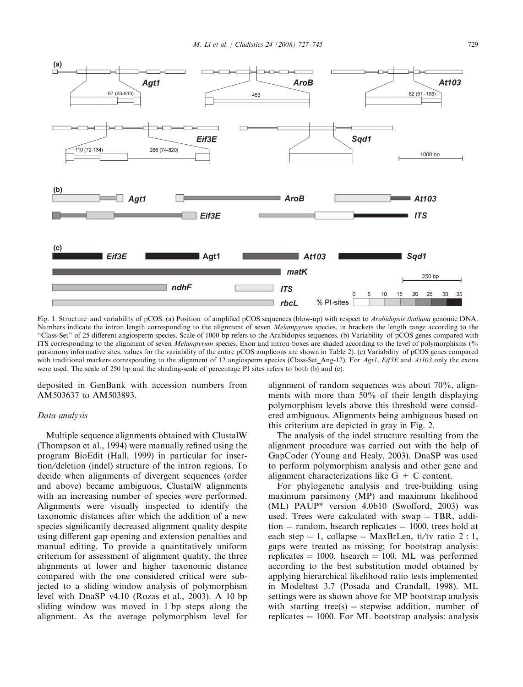

Fig. 1. Structure and variability of pCOS. (a) Position of amplified pCOS sequences (blow-up) with respect to Arabidopsis thaliana genomic DNA. Numbers indicate the intron length corresponding to the alignment of seven Melampyrum species, in brackets the length range according to the ''Class-Set'' of 25 different angiosperm species. Scale of 1000 bp refers to the Arabidopsis sequences. (b) Variability of pCOS genes compared with ITS corresponding to the alignment of seven Melampyrum species. Exon and intron boxes are shaded according to the level of polymorphisms (% parsimony informative sites, values for the variability of the entire pCOS amplicons are shown in Table 2). (c) Variability of pCOS genes compared with traditional markers corresponding to the alignment of 12 angiosperm species (Class-Set Ang-12). For Agt1, Eif3E and At103 only the exons were used. The scale of 250 bp and the shading-scale of percentage PI sites refers to both (b) and (c).

deposited in GenBank with accession numbers from AM503637 to AM503893.

#### Data analysis

Multiple sequence alignments obtained with ClustalW (Thompson et al., 1994) were manually refined using the program BioEdit (Hall, 1999) in particular for insertion ⁄deletion (indel) structure of the intron regions. To decide when alignments of divergent sequences (order and above) became ambiguous, ClustalW alignments with an increasing number of species were performed. Alignments were visually inspected to identify the taxonomic distances after which the addition of a new species significantly decreased alignment quality despite using different gap opening and extension penalties and manual editing. To provide a quantitatively uniform criterium for assessment of alignment quality, the three alignments at lower and higher taxonomic distance compared with the one considered critical were subjected to a sliding window analysis of polymorphism level with DnaSP v4.10 (Rozas et al., 2003). A 10 bp sliding window was moved in 1 bp steps along the alignment. As the average polymorphism level for

alignment of random sequences was about 70%, alignments with more than 50% of their length displaying polymorphism levels above this threshold were considered ambiguous. Alignments being ambiguous based on this criterium are depicted in gray in Fig. 2.

The analysis of the indel structure resulting from the alignment procedure was carried out with the help of GapCoder (Young and Healy, 2003). DnaSP was used to perform polymorphism analysis and other gene and alignment characterizations like  $G + C$  content.

For phylogenetic analysis and tree-building using maximum parsimony (MP) and maximum likelihood (ML) PAUP\* version 4.0b10 (Swofford, 2003) was used. Trees were calculated with  $swap = TBR$ , addi $tion = random$ , hsearch replicates  $= 1000$ , trees hold at each step = 1, collapse = MaxBrLen, ti/tv ratio 2 : 1, gaps were treated as missing; for bootstrap analysis: replicates  $= 1000$ , hsearch  $= 100$ . ML was performed according to the best substitution model obtained by applying hierarchical likelihood ratio tests implemented in Modeltest 3.7 (Posada and Crandall, 1998). ML settings were as shown above for MP bootstrap analysis with starting tree(s) = stepwise addition, number of replicates  $= 1000$ . For ML bootstrap analysis: analysis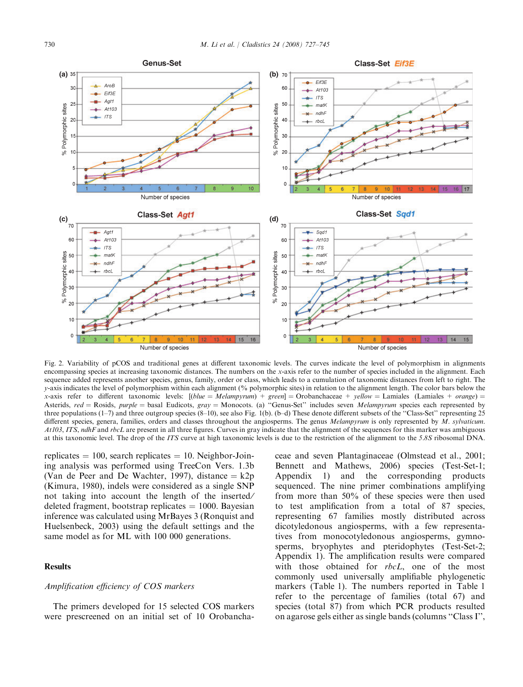

Fig. 2. Variability of pCOS and traditional genes at different taxonomic levels. The curves indicate the level of polymorphism in alignments encompassing species at increasing taxonomic distances. The numbers on the x-axis refer to the number of species included in the alignment. Each sequence added represents another species, genus, family, order or class, which leads to a cumulation of taxonomic distances from left to right. The  $y$ -axis indicates the level of polymorphism within each alignment  $\%$  polymorphic sites) in relation to the alignment length. The color bars below the x-axis refer to different taxonomic levels:  $[(blue = Melampyrum) + green] = Orobanchaceae + yellow = Lamiales (Lamiales + orange)$ Asterids, red = Rosids, purple = basal Eudicots, gray = Monocots. (a) "Genus-Set" includes seven Melampyrum species each represented by three populations (1–7) and three outgroup species (8–10), see also Fig. 1(b). (b–d) These denote different subsets of the ''Class-Set'' representing 25 different species, genera, families, orders and classes throughout the angiosperms. The genus Melampyrum is only represented by M. sylvaticum.  $At103$ , ITS, ndhF and rbcL are present in all three figures. Curves in gray indicate that the alignment of the sequences for this marker was ambiguous at this taxonomic level. The drop of the ITS curve at high taxonomic levels is due to the restriction of the alignment to the 5.8S ribosomal DNA.

replicates  $= 100$ , search replicates  $= 10$ . Neighbor-Joining analysis was performed using TreeCon Vers. 1.3b (Van de Peer and De Wachter, 1997), distance  $= k2p$ (Kimura, 1980), indels were considered as a single SNP not taking into account the length of the inserted/ deleted fragment, bootstrap replicates  $= 1000$ . Bayesian inference was calculated using MrBayes 3 (Ronquist and Huelsenbeck, 2003) using the default settings and the same model as for ML with 100 000 generations.

## Results

## Amplification efficiency of COS markers

The primers developed for 15 selected COS markers were prescreened on an initial set of 10 Orobancha-

ceae and seven Plantaginaceae (Olmstead et al., 2001; Bennett and Mathews, 2006) species (Test-Set-1; Appendix 1) and the corresponding products sequenced. The nine primer combinations amplifying from more than 50% of these species were then used to test amplification from a total of 87 species, representing 67 families mostly distributed across dicotyledonous angiosperms, with a few representatives from monocotyledonous angiosperms, gymnosperms, bryophytes and pteridophytes (Test-Set-2; Appendix 1). The amplification results were compared with those obtained for *rbcL*, one of the most commonly used universally amplifiable phylogenetic markers (Table 1). The numbers reported in Table 1 refer to the percentage of families (total 67) and species (total 87) from which PCR products resulted on agarose gels either as single bands (columns ''Class I'',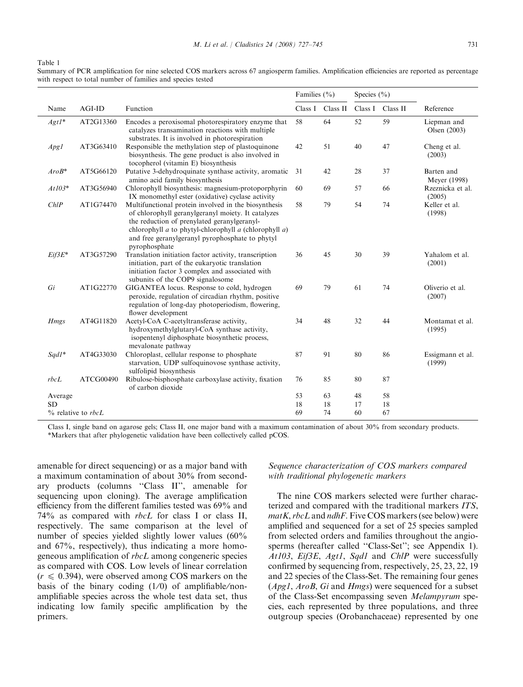Table 1

|                          |                      |                                                                                                                                                                                                                                                                                               | Families (%) |          | Species $(\% )$ |          |                             |  |
|--------------------------|----------------------|-----------------------------------------------------------------------------------------------------------------------------------------------------------------------------------------------------------------------------------------------------------------------------------------------|--------------|----------|-----------------|----------|-----------------------------|--|
| Name                     | AGI-ID               | Function                                                                                                                                                                                                                                                                                      | Class I      | Class II | Class I         | Class II | Reference                   |  |
| $Agt1*$                  | AT2G13360            | Encodes a peroxisomal photorespiratory enzyme that<br>catalyzes transamination reactions with multiple<br>substrates. It is involved in photorespiration                                                                                                                                      | 58           | 64       | 52              | 59       | Liepman and<br>Olsen (2003) |  |
| Apgl                     | AT3G63410            | Responsible the methylation step of plastoquinone<br>biosynthesis. The gene product is also involved in<br>tocopherol (vitamin E) biosynthesis                                                                                                                                                | 42           | 51       | 40              | 47       | Cheng et al.<br>(2003)      |  |
| $A\mathit{roB}^*$        | AT5G66120            | Putative 3-dehydroquinate synthase activity, aromatic<br>amino acid family biosynthesis                                                                                                                                                                                                       | 31           | 42       | 28              | 37       | Barten and<br>Meyer (1998)  |  |
| $At103*$                 | AT3G56940            | Chlorophyll biosynthesis: magnesium-protoporphyrin<br>IX monomethyl ester (oxidative) cyclase activity                                                                                                                                                                                        | 60           | 69       | 57              | 66       | Rzeznicka et al.<br>(2005)  |  |
| ChIP                     | AT1G74470            | Multifunctional protein involved in the biosynthesis<br>of chlorophyll geranylgeranyl moiety. It catalyzes<br>the reduction of prenylated geranylgeranyl-<br>chlorophyll $a$ to phytyl-chlorophyll $a$ (chlorophyll $a$ )<br>and free geranylgeranyl pyrophosphate to phytyl<br>pyrophosphate | 58           | 79       | 54              | 74       | Keller et al.<br>(1998)     |  |
| $Eif3E*$                 | AT3G57290            | Translation initiation factor activity, transcription<br>initiation, part of the eukaryotic translation<br>initiation factor 3 complex and associated with<br>subunits of the COP9 signalosome                                                                                                | 36           | 45       | 30              | 39       | Yahalom et al.<br>(2001)    |  |
| Gi                       | AT1G22770            | GIGANTEA locus. Response to cold, hydrogen<br>peroxide, regulation of circadian rhythm, positive<br>regulation of long-day photoperiodism, flowering,<br>flower development                                                                                                                   | 69           | 79       | 61              | 74       | Oliverio et al.<br>(2007)   |  |
| <b>H</b> mg <sub>s</sub> | AT4G11820            | Acetyl-CoA C-acetyltransferase activity,<br>hydroxymethylglutaryl-CoA synthase activity,<br>isopentenyl diphosphate biosynthetic process,<br>mevalonate pathway                                                                                                                               | 34           | 48       | 32              | 44       | Montamat et al.<br>(1995)   |  |
| $Sqdl^*$                 | AT4G33030            | Chloroplast, cellular response to phosphate<br>starvation, UDP sulfoquinovose synthase activity,<br>sulfolipid biosynthesis                                                                                                                                                                   | 87           | 91       | 80              | 86       | Essigmann et al.<br>(1999)  |  |
| rbcL                     | ATCG00490            | Ribulose-bisphosphate carboxylase activity, fixation<br>of carbon dioxide                                                                                                                                                                                                                     | 76           | 85       | 80              | 87       |                             |  |
| Average                  |                      |                                                                                                                                                                                                                                                                                               | 53           | 63       | 48              | 58       |                             |  |
| <b>SD</b>                |                      |                                                                                                                                                                                                                                                                                               | 18           | 18       | 17              | 18       |                             |  |
|                          | $%$ relative to rbcL |                                                                                                                                                                                                                                                                                               | 69           | 74       | 60              | 67       |                             |  |

Summary of PCR amplification for nine selected COS markers across 67 angiosperm families. Amplification efficiencies are reported as percentage with respect to total number of families and species tested

Class I, single band on agarose gels; Class II, one major band with a maximum contamination of about 30% from secondary products. \*Markers that after phylogenetic validation have been collectively called pCOS.

amenable for direct sequencing) or as a major band with a maximum contamination of about 30% from secondary products (columns ''Class II'', amenable for sequencing upon cloning). The average amplification efficiency from the different families tested was 69% and 74% as compared with rbcL for class I or class II, respectively. The same comparison at the level of number of species yielded slightly lower values (60% and 67%, respectively), thus indicating a more homogeneous amplification of rbcL among congeneric species as compared with COS. Low levels of linear correlation  $(r \le 0.394)$ , were observed among COS markers on the basis of the binary coding  $(1/0)$  of amplifiable/nonamplifiable species across the whole test data set, thus indicating low family specific amplification by the primers.

#### Sequence characterization of COS markers compared with traditional phylogenetic markers

The nine COS markers selected were further characterized and compared with the traditional markers ITS,  $matK,$  rbcL and  $ndhF$ . Five COS markers (see below) were amplified and sequenced for a set of 25 species sampled from selected orders and families throughout the angiosperms (hereafter called ''Class-Set''; see Appendix 1). At103, Eif3E, Agt1, Sqd1 and ChlP were successfully confirmed by sequencing from, respectively, 25, 23, 22, 19 and 22 species of the Class-Set. The remaining four genes  $(Apg1, AroB, Gi and Hmgs)$  were sequenced for a subset of the Class-Set encompassing seven Melampyrum species, each represented by three populations, and three outgroup species (Orobanchaceae) represented by one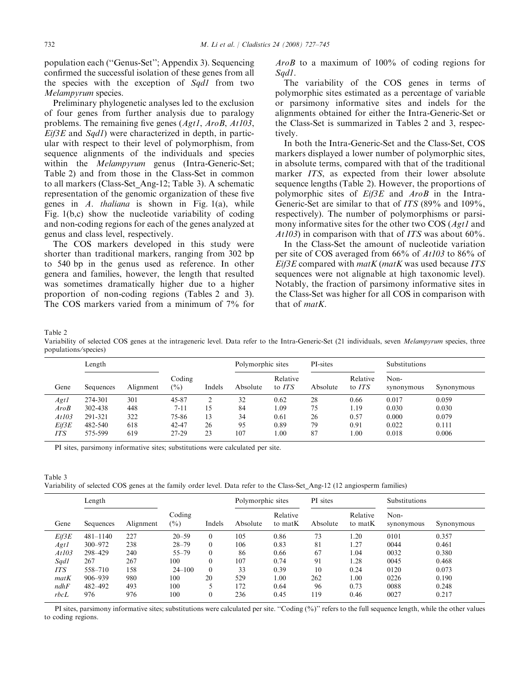population each (''Genus-Set''; Appendix 3). Sequencing confirmed the successful isolation of these genes from all the species with the exception of Sqd1 from two Melampyrum species.

Preliminary phylogenetic analyses led to the exclusion of four genes from further analysis due to paralogy problems. The remaining five genes (Agt1, AroB, At103,  $Eif3E$  and  $Sqdl$ ) were characterized in depth, in particular with respect to their level of polymorphism, from sequence alignments of the individuals and species within the *Melampyrum* genus (Intra-Generic-Set; Table 2) and from those in the Class-Set in common to all markers (Class-Set\_Ang-12; Table 3). A schematic representation of the genomic organization of these five genes in A. *thaliana* is shown in Fig.  $1(a)$ , while Fig. 1(b,c) show the nucleotide variability of coding and non-coding regions for each of the genes analyzed at genus and class level, respectively.

The COS markers developed in this study were shorter than traditional markers, ranging from 302 bp to 540 bp in the genus used as reference. In other genera and families, however, the length that resulted was sometimes dramatically higher due to a higher proportion of non-coding regions (Tables 2 and 3). The COS markers varied from a minimum of 7% for

AroB to a maximum of 100% of coding regions for Sqd1.

The variability of the COS genes in terms of polymorphic sites estimated as a percentage of variable or parsimony informative sites and indels for the alignments obtained for either the Intra-Generic-Set or the Class-Set is summarized in Tables 2 and 3, respectively.

In both the Intra-Generic-Set and the Class-Set, COS markers displayed a lower number of polymorphic sites, in absolute terms, compared with that of the traditional marker *ITS*, as expected from their lower absolute sequence lengths (Table 2). However, the proportions of polymorphic sites of Eif3E and AroB in the Intra-Generic-Set are similar to that of ITS (89% and 109%, respectively). The number of polymorphisms or parsimony informative sites for the other two COS (*Agt1* and  $At103$ ) in comparison with that of ITS was about 60%.

In the Class-Set the amount of nucleotide variation per site of COS averaged from 66% of At103 to 86% of Eif3E compared with  $matK$  (matK was used because ITS sequences were not alignable at high taxonomic level). Notably, the fraction of parsimony informative sites in the Class-Set was higher for all COS in comparison with that of matK.

Table 2

Table 3

Variability of selected COS genes at the intrageneric level. Data refer to the Intra-Generic-Set (21 individuals, seven Melampyrum species, three populations⁄species)

|            | Length    |           |                  |        |          | Polymorphic sites  |          | PI-sites           |                    |            |
|------------|-----------|-----------|------------------|--------|----------|--------------------|----------|--------------------|--------------------|------------|
| Gene       | Sequences | Alignment | Coding<br>$(\%)$ | Indels | Absolute | Relative<br>to ITS | Absolute | Relative<br>to ITS | Non-<br>synonymous | Synonymous |
| Agt1       | 274-301   | 301       | 45-87            | ↑      | 32       | 0.62               | 28       | 0.66               | 0.017              | 0.059      |
| $A$ ro $B$ | 302-438   | 448       | $7 - 11$         | 15     | 84       | 1.09               | 75       | 1.19               | 0.030              | 0.030      |
| At103      | 291-321   | 322       | 75-86            | 13     | 34       | 0.61               | 26       | 0.57               | 0.000              | 0.079      |
| Eif3E      | 482-540   | 618       | 42-47            | 26     | 95       | 0.89               | 79       | 0.91               | 0.022              | 0.111      |
| <b>ITS</b> | 575-599   | 619       | 27-29            | 23     | 107      | 1.00               | 87       | 1.00               | 0.018              | 0.006      |

PI sites, parsimony informative sites; substitutions were calculated per site.

Variability of selected COS genes at the family order level. Data refer to the Class-Set\_Ang-12 (12 angiosperm families)

|            | Length       |           |                  |              |          | Polymorphic sites               |          |                     | Substitutions      |            |  |
|------------|--------------|-----------|------------------|--------------|----------|---------------------------------|----------|---------------------|--------------------|------------|--|
| Gene       | Sequences    | Alignment | Coding<br>$(\%)$ | Indels       | Absolute | Relative<br>to mat <sub>K</sub> | Absolute | Relative<br>to matK | Non-<br>synonymous | Synonymous |  |
| Eif3E      | $481 - 1140$ | 227       | $20 - 59$        | $\mathbf{0}$ | 105      | 0.86                            | 73       | 1.20                | 0101               | 0.357      |  |
| Agt1       | $300 - 972$  | 238       | $28 - 79$        | $\mathbf{0}$ | 106      | 0.83                            | 81       | 1.27                | 0044               | 0.461      |  |
| At103      | 298-429      | 240       | $55 - 79$        | $\mathbf{0}$ | 86       | 0.66                            | 67       | 1.04                | 0032               | 0.380      |  |
| Sqd1       | 267          | 267       | 100              | $\mathbf{0}$ | 107      | 0.74                            | 91       | 1.28                | 0045               | 0.468      |  |
| <b>ITS</b> | 558-710      | 158       | $24 - 100$       | $\mathbf{0}$ | 33       | 0.39                            | 10       | 0.24                | 0120               | 0.073      |  |
| matK       | 906-939      | 980       | 100              | 20           | 529      | 1.00                            | 262      | 1.00                | 0226               | 0.190      |  |
| ndhF       | 482-492      | 493       | 100              |              | 172      | 0.64                            | 96       | 0.73                | 0088               | 0.248      |  |
| rbcL       | 976          | 976       | 100              | 0            | 236      | 0.45                            | 119      | 0.46                | 0027               | 0.217      |  |

PI sites, parsimony informative sites; substitutions were calculated per site. ''Coding (%)'' refers to the full sequence length, while the other values to coding regions.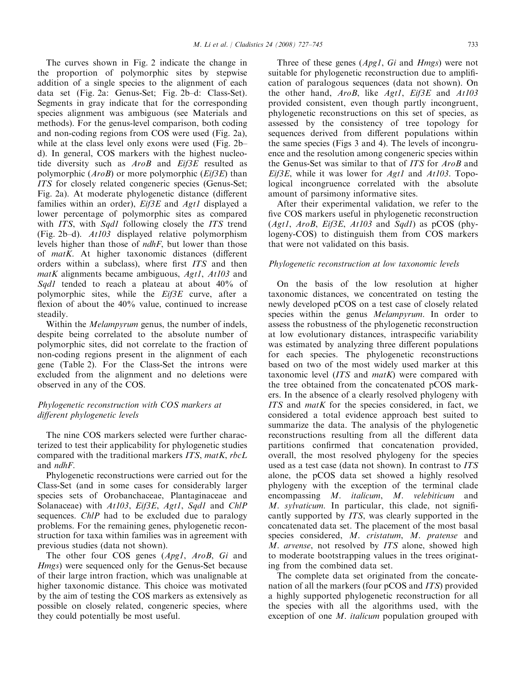The curves shown in Fig. 2 indicate the change in the proportion of polymorphic sites by stepwise addition of a single species to the alignment of each data set (Fig. 2a: Genus-Set; Fig. 2b–d: Class-Set). Segments in gray indicate that for the corresponding species alignment was ambiguous (see Materials and methods). For the genus-level comparison, both coding and non-coding regions from COS were used (Fig. 2a), while at the class level only exons were used (Fig. 2b– d). In general, COS markers with the highest nucleotide diversity such as AroB and Eif3E resulted as polymorphic  $(AroB)$  or more polymorphic (*Eif3E*) than ITS for closely related congeneric species (Genus-Set; Fig. 2a). At moderate phylogenetic distance (different families within an order),  $Eif3E$  and  $Agt1$  displayed a lower percentage of polymorphic sites as compared with ITS, with Sqd1 following closely the ITS trend (Fig. 2b–d). At103 displayed relative polymorphism levels higher than those of ndhF, but lower than those of matK. At higher taxonomic distances (different orders within a subclass), where first ITS and then  $m \in K$  alignments became ambiguous, Agt1, At103 and Sqd1 tended to reach a plateau at about 40% of polymorphic sites, while the Eif3E curve, after a flexion of about the 40% value, continued to increase steadily.

Within the *Melampyrum* genus, the number of indels, despite being correlated to the absolute number of polymorphic sites, did not correlate to the fraction of non-coding regions present in the alignment of each gene (Table 2). For the Class-Set the introns were excluded from the alignment and no deletions were observed in any of the COS.

### Phylogenetic reconstruction with COS markers at different phylogenetic levels

The nine COS markers selected were further characterized to test their applicability for phylogenetic studies compared with the traditional markers ITS, matK, rbcL and ndhF.

Phylogenetic reconstructions were carried out for the Class-Set (and in some cases for considerably larger species sets of Orobanchaceae, Plantaginaceae and Solanaceae) with At103, Eif3E, Agt1, Sqd1 and ChlP sequences. *ChlP* had to be excluded due to paralogy problems. For the remaining genes, phylogenetic reconstruction for taxa within families was in agreement with previous studies (data not shown).

The other four COS genes (Apg1, AroB, Gi and Hmgs) were sequenced only for the Genus-Set because of their large intron fraction, which was unalignable at higher taxonomic distance. This choice was motivated by the aim of testing the COS markers as extensively as possible on closely related, congeneric species, where they could potentially be most useful.

Three of these genes (Apg1, Gi and Hmgs) were not suitable for phylogenetic reconstruction due to amplification of paralogous sequences (data not shown). On the other hand, AroB, like Agt1, Eif3E and At103 provided consistent, even though partly incongruent, phylogenetic reconstructions on this set of species, as assessed by the consistency of tree topology for sequences derived from different populations within the same species (Figs 3 and 4). The levels of incongruence and the resolution among congeneric species within the Genus-Set was similar to that of ITS for AroB and Eif3E, while it was lower for  $Agt1$  and  $At103$ . Topological incongruence correlated with the absolute amount of parsimony informative sites.

After their experimental validation, we refer to the five COS markers useful in phylogenetic reconstruction  $(Agt1, AroB, Eif3E, At103 and Sgd1)$  as pCOS (phylogeny-COS) to distinguish them from COS markers that were not validated on this basis.

#### Phylogenetic reconstruction at low taxonomic levels

On the basis of the low resolution at higher taxonomic distances, we concentrated on testing the newly developed pCOS on a test case of closely related species within the genus Melampyrum. In order to assess the robustness of the phylogenetic reconstruction at low evolutionary distances, intraspecific variability was estimated by analyzing three different populations for each species. The phylogenetic reconstructions based on two of the most widely used marker at this taxonomic level  $(ITS \text{ and } \text{matK})$  were compared with the tree obtained from the concatenated pCOS markers. In the absence of a clearly resolved phylogeny with  $ITS$  and  $matK$  for the species considered, in fact, we considered a total evidence approach best suited to summarize the data. The analysis of the phylogenetic reconstructions resulting from all the different data partitions confirmed that concatenation provided, overall, the most resolved phylogeny for the species used as a test case (data not shown). In contrast to ITS alone, the pCOS data set showed a highly resolved phylogeny with the exception of the terminal clade encompassing M. italicum, M. velebiticum and M. sylvaticum. In particular, this clade, not significantly supported by ITS, was clearly supported in the concatenated data set. The placement of the most basal species considered, M. cristatum, M. pratense and M. arvense, not resolved by ITS alone, showed high to moderate bootstrapping values in the trees originating from the combined data set.

The complete data set originated from the concatenation of all the markers (four pCOS and ITS) provided a highly supported phylogenetic reconstruction for all the species with all the algorithms used, with the exception of one *M. italicum* population grouped with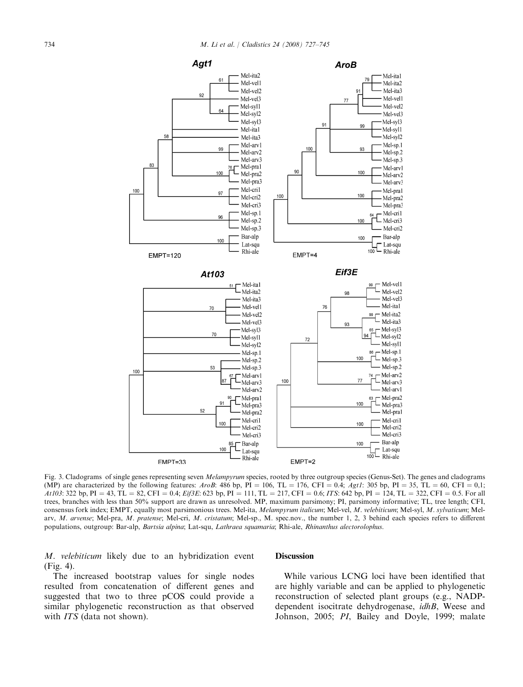

Fig. 3. Cladograms of single genes representing seven Melampyrum species, rooted by three outgroup species (Genus-Set). The genes and cladograms (MP) are characterized by the following features: AroB: 486 bp, PI = 106, TL = 176, CFI = 0.4; Agt1: 305 bp, PI = 35, TL = 60, CFI = 0.1; At103: 322 bp, PI = 43, TL = 82, CFI = 0.4; Eif3E: 623 bp, PI = 111, TL = 217, CFI = 0.6; ITS: 642 bp, PI = 124, TL = 322, CFI = 0.5. For all trees, branches with less than 50% support are drawn as unresolved. MP, maximum parsimony; PI, parsimony informative; TL, tree length; CFI, consensus fork index; EMPT, equally most parsimonious trees. Mel-ita, Melampyrum italicum; Mel-vel, M. velebiticum; Mel-syl, M. sylvaticum; Melarv, M. arvense; Mel-pra, M. pratense; Mel-cri, M. cristatum; Mel-sp., M. spec.nov., the number 1, 2, 3 behind each species refers to different populations, outgroup: Bar-alp, Bartsia alpina; Lat-squ, Lathraea squamaria; Rhi-ale, Rhinanthus alectorolophus.

M. velebiticum likely due to an hybridization event (Fig. 4).

#### **Discussion**

The increased bootstrap values for single nodes resulted from concatenation of different genes and suggested that two to three pCOS could provide a similar phylogenetic reconstruction as that observed with *ITS* (data not shown).

While various LCNG loci have been identified that are highly variable and can be applied to phylogenetic reconstruction of selected plant groups (e.g., NADPdependent isocitrate dehydrogenase, idhB, Weese and Johnson, 2005; PI, Bailey and Doyle, 1999; malate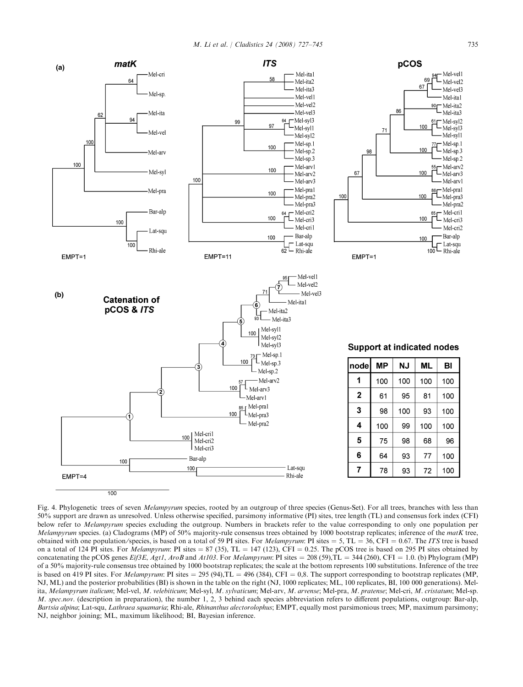

Fig. 4. Phylogenetic trees of seven Melampyrum species, rooted by an outgroup of three species (Genus-Set). For all trees, branches with less than 50% support are drawn as unresolved. Unless otherwise specified, parsimony informative (PI) sites, tree length (TL) and consensus fork index (CFI) below refer to Melampyrum species excluding the outgroup. Numbers in brackets refer to the value corresponding to only one population per Melampyrum species. (a) Cladograms (MP) of 50% majority-rule consensus trees obtained by 1000 bootstrap replicates; inference of the matK tree, obtained with one population/species, is based on a total of 59 PI sites. For *Melampyrum*: PI sites = 5, TL = 36, CFI = 0.67. The *ITS* tree is based on a total of 124 PI sites. For *Melampyrum*: PI sites = 87 (35), TL = 147 (123), CFI = 0.25. The pCOS tree is based on 295 PI sites obtained by concatenating the pCOS genes Eif3E, Agt1, AroB and At103. For Melampyrum: PI sites = 208 (59), TL = 344 (260), CFI = 1.0. (b) Phylogram (MP) of a 50% majority-rule consensus tree obtained by 1000 bootstrap replicates; the scale at the bottom represents 100 substitutions. Inference of the tree is based on 419 PI sites. For Melampyrum: PI sites  $= 295 (94)$ ,TL  $= 496 (384)$ , CFI  $= 0.8$ . The support corresponding to bootstrap replicates (MP, NJ, ML) and the posterior probabilities (BI) is shown in the table on the right (NJ, 1000 replicates; ML, 100 replicates, BI, 100 000 generations). Melita, Melampyrum italicum; Mel-vel, M. velebiticum; Mel-syl, M. sylvaticum; Mel-arv, M. arvense; Mel-pra, M. pratense; Mel-cri, M. cristatum; Mel-sp. M. spec.nov. (description in preparation), the number 1, 2, 3 behind each species abbreviation refers to different populations, outgroup: Bar-alp, Bartsia alpina; Lat-squ, Lathraea squamaria; Rhi-ale, Rhinanthus alectorolophus; EMPT, equally most parsimonious trees; MP, maximum parsimony; NJ, neighbor joining; ML, maximum likelihood; BI, Bayesian inference.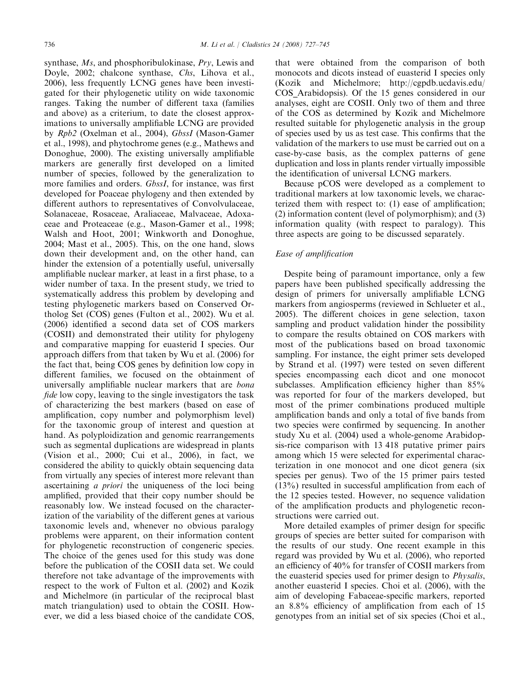synthase, Ms, and phosphoribulokinase, Pry, Lewis and Doyle, 2002; chalcone synthase, *Chs*, Lihova et al., 2006), less frequently LCNG genes have been investigated for their phylogenetic utility on wide taxonomic ranges. Taking the number of different taxa (families and above) as a criterium, to date the closest approximations to universally amplifiable LCNG are provided by Rpb2 (Oxelman et al., 2004), GbssI (Mason-Gamer et al., 1998), and phytochrome genes (e.g., Mathews and Donoghue, 2000). The existing universally amplifiable markers are generally first developed on a limited number of species, followed by the generalization to more families and orders. GbssI, for instance, was first developed for Poaceae phylogeny and then extended by different authors to representatives of Convolvulaceae, Solanaceae, Rosaceae, Araliaceae, Malvaceae, Adoxaceae and Proteaceae (e.g., Mason-Gamer et al., 1998; Walsh and Hoot, 2001; Winkworth and Donoghue, 2004; Mast et al., 2005). This, on the one hand, slows down their development and, on the other hand, can hinder the extension of a potentially useful, universally amplifiable nuclear marker, at least in a first phase, to a wider number of taxa. In the present study, we tried to systematically address this problem by developing and testing phylogenetic markers based on Conserved Ortholog Set (COS) genes (Fulton et al., 2002). Wu et al. (2006) identified a second data set of COS markers (COSII) and demonstrated their utility for phylogeny and comparative mapping for euasterid I species. Our approach differs from that taken by Wu et al. (2006) for the fact that, being COS genes by definition low copy in different families, we focused on the obtainment of universally amplifiable nuclear markers that are bona fide low copy, leaving to the single investigators the task of characterizing the best markers (based on ease of amplification, copy number and polymorphism level) for the taxonomic group of interest and question at hand. As polyploidization and genomic rearrangements such as segmental duplications are widespread in plants (Vision et al., 2000; Cui et al., 2006), in fact, we considered the ability to quickly obtain sequencing data from virtually any species of interest more relevant than ascertaining a priori the uniqueness of the loci being amplified, provided that their copy number should be reasonably low. We instead focused on the characterization of the variability of the different genes at various taxonomic levels and, whenever no obvious paralogy problems were apparent, on their information content for phylogenetic reconstruction of congeneric species. The choice of the genes used for this study was done before the publication of the COSII data set. We could therefore not take advantage of the improvements with respect to the work of Fulton et al. (2002) and Kozik and Michelmore (in particular of the reciprocal blast match triangulation) used to obtain the COSII. However, we did a less biased choice of the candidate COS, that were obtained from the comparison of both monocots and dicots instead of euasterid I species only (Kozik and Michelmore; http://cgpdb.ucdavis.edu/ COS\_Arabidopsis). Of the 15 genes considered in our analyses, eight are COSII. Only two of them and three of the COS as determined by Kozik and Michelmore resulted suitable for phylogenetic analysis in the group of species used by us as test case. This confirms that the validation of the markers to use must be carried out on a case-by-case basis, as the complex patterns of gene duplication and loss in plants render virtually impossible the identification of universal LCNG markers.

Because pCOS were developed as a complement to traditional markers at low taxonomic levels, we characterized them with respect to: (1) ease of amplification; (2) information content (level of polymorphism); and (3) information quality (with respect to paralogy). This three aspects are going to be discussed separately.

## Ease of amplification

Despite being of paramount importance, only a few papers have been published specifically addressing the design of primers for universally amplifiable LCNG markers from angiosperms (reviewed in Schlueter et al., 2005). The different choices in gene selection, taxon sampling and product validation hinder the possibility to compare the results obtained on COS markers with most of the publications based on broad taxonomic sampling. For instance, the eight primer sets developed by Strand et al. (1997) were tested on seven different species encompassing each dicot and one monocot subclasses. Amplification efficiency higher than 85% was reported for four of the markers developed, but most of the primer combinations produced multiple amplification bands and only a total of five bands from two species were confirmed by sequencing. In another study Xu et al. (2004) used a whole-genome Arabidopsis-rice comparison with 13 418 putative primer pairs among which 15 were selected for experimental characterization in one monocot and one dicot genera (six species per genus). Two of the 15 primer pairs tested (13%) resulted in successful amplification from each of the 12 species tested. However, no sequence validation of the amplification products and phylogenetic reconstructions were carried out.

More detailed examples of primer design for specific groups of species are better suited for comparison with the results of our study. One recent example in this regard was provided by Wu et al. (2006), who reported an efficiency of 40% for transfer of COSII markers from the euasterid species used for primer design to Physalis, another euasterid I species. Choi et al. (2006), with the aim of developing Fabaceae-specific markers, reported an 8.8% efficiency of amplification from each of 15 genotypes from an initial set of six species (Choi et al.,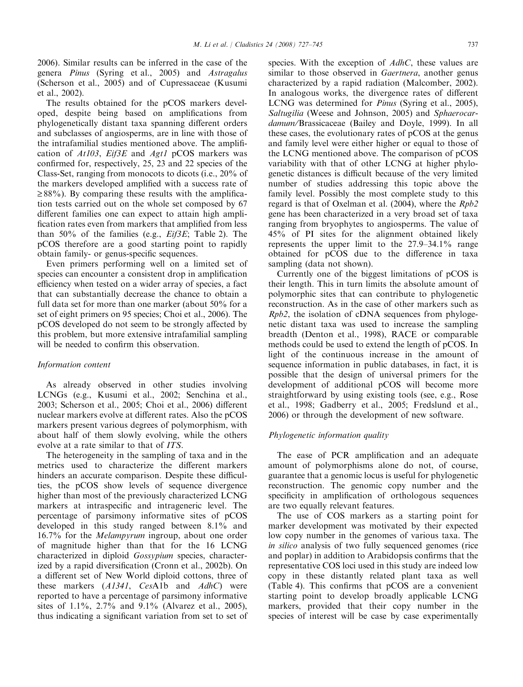2006). Similar results can be inferred in the case of the genera Pinus (Syring et al., 2005) and Astragalus (Scherson et al., 2005) and of Cupressaceae (Kusumi et al., 2002).

The results obtained for the pCOS markers developed, despite being based on amplifications from phylogenetically distant taxa spanning different orders and subclasses of angiosperms, are in line with those of the intrafamilial studies mentioned above. The amplification of  $At103$ ,  $Eif3E$  and  $Agt1$  pCOS markers was confirmed for, respectively, 25, 23 and 22 species of the Class-Set, ranging from monocots to dicots (i.e., 20% of the markers developed amplified with a success rate of  $\geq$ 88%). By comparing these results with the amplification tests carried out on the whole set composed by 67 different families one can expect to attain high amplification rates even from markers that amplified from less than  $50\%$  of the families (e.g.,  $Eif3E$ ; Table 2). The pCOS therefore are a good starting point to rapidly obtain family- or genus-specific sequences.

Even primers performing well on a limited set of species can encounter a consistent drop in amplification efficiency when tested on a wider array of species, a fact that can substantially decrease the chance to obtain a full data set for more than one marker (about 50% for a set of eight primers on 95 species; Choi et al., 2006). The pCOS developed do not seem to be strongly affected by this problem, but more extensive intrafamilial sampling will be needed to confirm this observation.

#### Information content

As already observed in other studies involving LCNGs (e.g., Kusumi et al., 2002; Senchina et al., 2003; Scherson et al., 2005; Choi et al., 2006) different nuclear markers evolve at different rates. Also the pCOS markers present various degrees of polymorphism, with about half of them slowly evolving, while the others evolve at a rate similar to that of ITS.

The heterogeneity in the sampling of taxa and in the metrics used to characterize the different markers hinders an accurate comparison. Despite these difficulties, the pCOS show levels of sequence divergence higher than most of the previously characterized LCNG markers at intraspecific and intrageneric level. The percentage of parsimony informative sites of pCOS developed in this study ranged between 8.1% and 16.7% for the Melampyrum ingroup, about one order of magnitude higher than that for the 16 LCNG characterized in diploid Gossypium species, characterized by a rapid diversification (Cronn et al., 2002b). On a different set of New World diploid cottons, three of these markers (A1341, CesA1b and AdhC) were reported to have a percentage of parsimony informative sites of 1.1%, 2.7% and 9.1% (Alvarez et al., 2005), thus indicating a significant variation from set to set of species. With the exception of AdhC, these values are similar to those observed in *Gaertnera*, another genus characterized by a rapid radiation (Malcomber, 2002). In analogous works, the divergence rates of different LCNG was determined for Pinus (Syring et al., 2005), Saltugilia (Weese and Johnson, 2005) and Sphaerocardamum⁄Brassicaceae (Bailey and Doyle, 1999). In all these cases, the evolutionary rates of pCOS at the genus and family level were either higher or equal to those of the LCNG mentioned above. The comparison of pCOS variability with that of other LCNG at higher phylogenetic distances is difficult because of the very limited number of studies addressing this topic above the family level. Possibly the most complete study to this regard is that of Oxelman et al. (2004), where the Rpb2 gene has been characterized in a very broad set of taxa ranging from bryophytes to angiosperms. The value of 45% of PI sites for the alignment obtained likely represents the upper limit to the 27.9–34.1% range obtained for pCOS due to the difference in taxa sampling (data not shown).

Currently one of the biggest limitations of pCOS is their length. This in turn limits the absolute amount of polymorphic sites that can contribute to phylogenetic reconstruction. As in the case of other markers such as Rpb2, the isolation of cDNA sequences from phylogenetic distant taxa was used to increase the sampling breadth (Denton et al., 1998), RACE or comparable methods could be used to extend the length of pCOS. In light of the continuous increase in the amount of sequence information in public databases, in fact, it is possible that the design of universal primers for the development of additional pCOS will become more straightforward by using existing tools (see, e.g., Rose et al., 1998; Gadberry et al., 2005; Fredslund et al., 2006) or through the development of new software.

## Phylogenetic information quality

The ease of PCR amplification and an adequate amount of polymorphisms alone do not, of course, guarantee that a genomic locus is useful for phylogenetic reconstruction. The genomic copy number and the specificity in amplification of orthologous sequences are two equally relevant features.

The use of COS markers as a starting point for marker development was motivated by their expected low copy number in the genomes of various taxa. The in silico analysis of two fully sequenced genomes (rice and poplar) in addition to Arabidopsis confirms that the representative COS loci used in this study are indeed low copy in these distantly related plant taxa as well (Table 4). This confirms that pCOS are a convenient starting point to develop broadly applicable LCNG markers, provided that their copy number in the species of interest will be case by case experimentally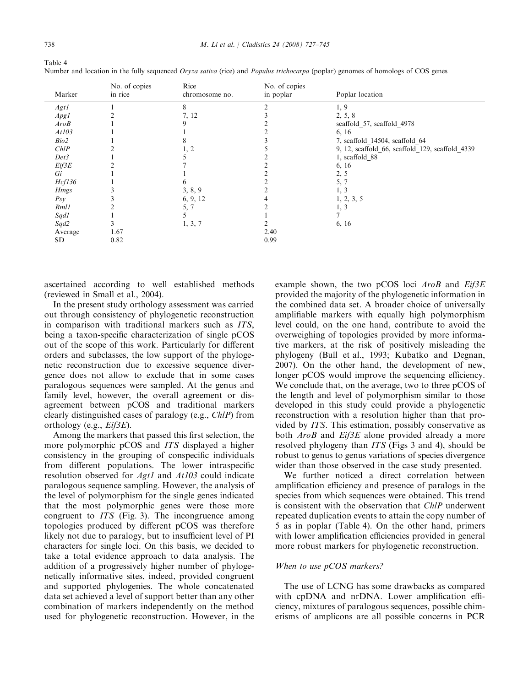Table 4

| Marker                   | No. of copies<br>in rice | Rice<br>chromosome no. | No. of copies<br>in poplar | Poplar location                                 |
|--------------------------|--------------------------|------------------------|----------------------------|-------------------------------------------------|
| Agt1                     |                          | 8                      |                            | 1, 9                                            |
| Apgl                     |                          | 7, 12                  |                            | 2, 5, 8                                         |
| $A\mathit{roB}$          |                          |                        |                            | scaffold 57, scaffold 4978                      |
| At103                    |                          |                        |                            | 6, 16                                           |
| Bio2                     |                          |                        |                            | 7, scaffold 14504, scaffold 64                  |
| ChIP                     |                          | 1, 2                   |                            | 9, 12, scaffold 66, scaffold 129, scaffold 4339 |
| Det3                     |                          |                        |                            | 1, scaffold_88                                  |
| Eif3E                    |                          |                        |                            | 6, 16                                           |
| Gi                       |                          |                        |                            | 2, 5                                            |
| <i>Hcf136</i>            |                          |                        |                            | 5. 7                                            |
| <b>H</b> mg <sub>s</sub> |                          | 3, 8, 9                |                            | 1, 3                                            |
| Psy                      |                          | 6, 9, 12               |                            | 1, 2, 3, 5                                      |
| Rml1                     |                          | 5, 7                   |                            | 1, 3                                            |
| Sqd1                     |                          |                        |                            |                                                 |
| Sqd2                     |                          | 1, 3, 7                |                            | 6, 16                                           |
| Average                  | 1.67                     |                        | 2.40                       |                                                 |
| SD.                      | 0.82                     |                        | 0.99                       |                                                 |

Number and location in the fully sequenced Oryza sativa (rice) and Populus trichocarpa (poplar) genomes of homologs of COS genes

ascertained according to well established methods (reviewed in Small et al., 2004).

In the present study orthology assessment was carried out through consistency of phylogenetic reconstruction in comparison with traditional markers such as ITS, being a taxon-specific characterization of single pCOS out of the scope of this work. Particularly for different orders and subclasses, the low support of the phylogenetic reconstruction due to excessive sequence divergence does not allow to exclude that in some cases paralogous sequences were sampled. At the genus and family level, however, the overall agreement or disagreement between pCOS and traditional markers clearly distinguished cases of paralogy (e.g., ChlP) from orthology (e.g.,  $Eif3E$ ).

Among the markers that passed this first selection, the more polymorphic pCOS and ITS displayed a higher consistency in the grouping of conspecific individuals from different populations. The lower intraspecific resolution observed for Agt1 and At103 could indicate paralogous sequence sampling. However, the analysis of the level of polymorphism for the single genes indicated that the most polymorphic genes were those more congruent to ITS (Fig. 3). The incongruence among topologies produced by different pCOS was therefore likely not due to paralogy, but to insufficient level of PI characters for single loci. On this basis, we decided to take a total evidence approach to data analysis. The addition of a progressively higher number of phylogenetically informative sites, indeed, provided congruent and supported phylogenies. The whole concatenated data set achieved a level of support better than any other combination of markers independently on the method used for phylogenetic reconstruction. However, in the example shown, the two pCOS loci AroB and Eif3E provided the majority of the phylogenetic information in the combined data set. A broader choice of universally amplifiable markers with equally high polymorphism level could, on the one hand, contribute to avoid the overweighing of topologies provided by more informative markers, at the risk of positively misleading the phylogeny (Bull et al., 1993; Kubatko and Degnan, 2007). On the other hand, the development of new, longer pCOS would improve the sequencing efficiency. We conclude that, on the average, two to three pCOS of the length and level of polymorphism similar to those developed in this study could provide a phylogenetic reconstruction with a resolution higher than that provided by ITS. This estimation, possibly conservative as both *AroB* and *Eif3E* alone provided already a more resolved phylogeny than ITS (Figs 3 and 4), should be robust to genus to genus variations of species divergence wider than those observed in the case study presented.

We further noticed a direct correlation between amplification efficiency and presence of paralogs in the species from which sequences were obtained. This trend is consistent with the observation that ChlP underwent repeated duplication events to attain the copy number of 5 as in poplar (Table 4). On the other hand, primers with lower amplification efficiencies provided in general more robust markers for phylogenetic reconstruction.

#### When to use pCOS markers?

The use of LCNG has some drawbacks as compared with cpDNA and nrDNA. Lower amplification efficiency, mixtures of paralogous sequences, possible chimerisms of amplicons are all possible concerns in PCR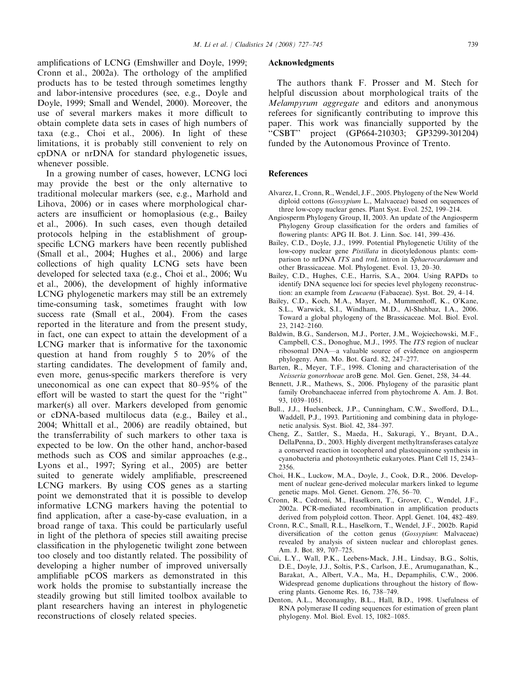amplifications of LCNG (Emshwiller and Doyle, 1999; Cronn et al., 2002a). The orthology of the amplified products has to be tested through sometimes lengthy and labor-intensive procedures (see, e.g., Doyle and Doyle, 1999; Small and Wendel, 2000). Moreover, the use of several markers makes it more difficult to obtain complete data sets in cases of high numbers of taxa (e.g., Choi et al., 2006). In light of these limitations, it is probably still convenient to rely on cpDNA or nrDNA for standard phylogenetic issues, whenever possible.

In a growing number of cases, however, LCNG loci may provide the best or the only alternative to traditional molecular markers (see, e.g., Marhold and Lihova, 2006) or in cases where morphological characters are insufficient or homoplasious (e.g., Bailey et al., 2006). In such cases, even though detailed protocols helping in the establishment of groupspecific LCNG markers have been recently published (Small et al., 2004; Hughes et al., 2006) and large collections of high quality LCNG sets have been developed for selected taxa (e.g., Choi et al., 2006; Wu et al., 2006), the development of highly informative LCNG phylogenetic markers may still be an extremely time-consuming task, sometimes fraught with low success rate (Small et al., 2004). From the cases reported in the literature and from the present study, in fact, one can expect to attain the development of a LCNG marker that is informative for the taxonomic question at hand from roughly 5 to 20% of the starting candidates. The development of family and, even more, genus-specific markers therefore is very uneconomical as one can expect that 80–95% of the effort will be wasted to start the quest for the ''right'' marker(s) all over. Markers developed from genomic or cDNA-based multilocus data (e.g., Bailey et al., 2004; Whittall et al., 2006) are readily obtained, but the transferrability of such markers to other taxa is expected to be low. On the other hand, anchor-based methods such as COS and similar approaches (e.g., Lyons et al., 1997; Syring et al., 2005) are better suited to generate widely amplifiable, prescreened LCNG markers. By using COS genes as a starting point we demonstrated that it is possible to develop informative LCNG markers having the potential to find application, after a case-by-case evaluation, in a broad range of taxa. This could be particularly useful in light of the plethora of species still awaiting precise classification in the phylogenetic twilight zone between too closely and too distantly related. The possibility of developing a higher number of improved universally amplifiable pCOS markers as demonstrated in this work holds the promise to substantially increase the steadily growing but still limited toolbox available to plant researchers having an interest in phylogenetic reconstructions of closely related species.

#### Acknowledgments

The authors thank F. Prosser and M. Stech for helpful discussion about morphological traits of the Melampyrum aggregate and editors and anonymous referees for significantly contributing to improve this paper. This work was financially supported by the ''CSBT'' project (GP664-210303; GP3299-301204) funded by the Autonomous Province of Trento.

#### References

- Alvarez, I., Cronn, R., Wendel, J.F., 2005. Phylogeny of the New World diploid cottons (Gossypium L., Malvaceae) based on sequences of three low-copy nuclear genes. Plant Syst. Evol. 252, 199–214.
- Angiosperm Phylogeny Group, II, 2003. An update of the Angiosperm Phylogeny Group classification for the orders and families of flowering plants: APG II. Bot. J. Linn. Soc. 141, 399–436.
- Bailey, C.D., Doyle, J.J., 1999. Potential Phylogenetic Utility of the low-copy nuclear gene Pistillata in dicotyledonous plants: comparison to nrDNA ITS and trnL intron in Sphaerocardamum and other Brassicaceae. Mol. Phylogenet. Evol. 13, 20–30.
- Bailey, C.D., Hughes, C.E., Harris, S.A., 2004. Using RAPDs to identify DNA sequence loci for species level phylogeny reconstruction: an example from Leucaena (Fabaceae). Syst. Bot. 29, 4–14.
- Bailey, C.D., Koch, M.A., Mayer, M., Mummenhoff, K., O'Kane, S.L., Warwick, S.I., Windham, M.D., Al-Shehbaz, I.A., 2006. Toward a global phylogeny of the Brassicaceae. Mol. Biol. Evol. 23, 2142–2160.
- Baldwin, B.G., Sanderson, M.J., Porter, J.M., Wojciechowski, M.F., Campbell, C.S., Donoghue, M.J., 1995. The ITS region of nuclear ribosomal DNA—a valuable source of evidence on angiosperm phylogeny. Ann. Mo. Bot. Gard. 82, 247–277.
- Barten, R., Meyer, T.F., 1998. Cloning and characterisation of the Neisseria gonorrhoeae aroB gene. Mol. Gen. Genet, 258, 34–44.
- Bennett, J.R., Mathews, S., 2006. Phylogeny of the parasitic plant family Orobanchaceae inferred from phytochrome A. Am. J. Bot. 93, 1039–1051.
- Bull., J.J., Huelsenbeck, J.P., Cunningham, C.W., Swofford, D.L., Waddell, P.J., 1993. Partitioning and combining data in phylogenetic analysis. Syst. Biol. 42, 384–397.
- Cheng, Z., Sattler, S., Maeda, H., Sakuragi, Y., Bryant, D.A., DellaPenna, D., 2003. Highly divergent methyltransferases catalyze a conserved reaction in tocopherol and plastoquinone synthesis in cyanobacteria and photosynthetic eukaryotes. Plant Cell 15, 2343– 2356.
- Choi, H.K., Luckow, M.A., Doyle, J., Cook, D.R., 2006. Development of nuclear gene-derived molecular markers linked to legume genetic maps. Mol. Genet. Genom. 276, 56–70.
- Cronn, R., Cedroni, M., Haselkorn, T., Grover, C., Wendel, J.F., 2002a. PCR-mediated recombination in amplification products derived from polyploid cotton. Theor. Appl. Genet. 104, 482–489.
- Cronn, R.C., Small, R.L., Haselkorn, T., Wendel, J.F., 2002b. Rapid diversification of the cotton genus (Gossypium: Malvaceae) revealed by analysis of sixteen nuclear and chloroplast genes. Am. J. Bot. 89, 707–725.
- Cui, L.Y., Wall, P.K., Leebens-Mack, J.H., Lindsay, B.G., Soltis, D.E., Doyle, J.J., Soltis, P.S., Carlson, J.E., Arumuganathan, K., Barakat, A., Albert, V.A., Ma, H., Depamphilis, C.W., 2006. Widespread genome duplications throughout the history of flowering plants. Genome Res. 16, 738–749.
- Denton, A.L., Mcconaughy, B.L., Hall, B.D., 1998. Usefulness of RNA polymerase II coding sequences for estimation of green plant phylogeny. Mol. Biol. Evol. 15, 1082–1085.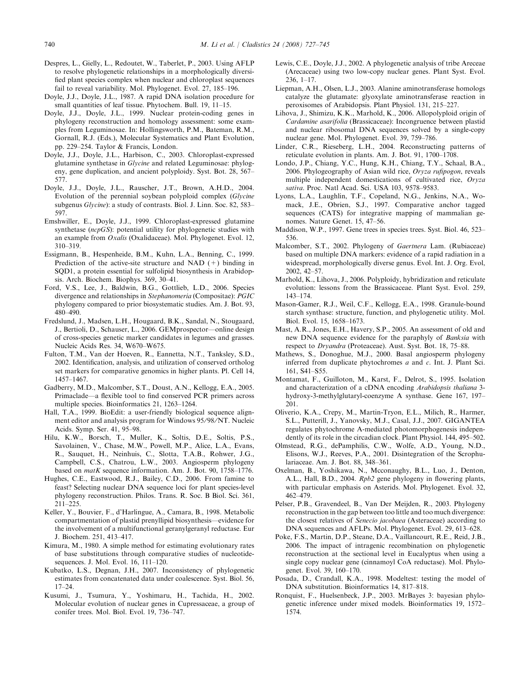- Despres, L., Gielly, L., Redoutet, W., Taberlet, P., 2003. Using AFLP to resolve phylogenetic relationships in a morphologically diversified plant species complex when nuclear and chloroplast sequences fail to reveal variability. Mol. Phylogenet. Evol. 27, 185–196.
- Doyle, J.J., Doyle, J.L., 1987. A rapid DNA isolation procedure for small quantities of leaf tissue. Phytochem. Bull. 19, 11-15.
- Doyle, J.J., Doyle, J.L., 1999. Nuclear protein-coding genes in phylogeny reconstruction and homology assessment: some examples from Leguminosae. In: Hollingsworth, P.M., Bateman, R.M., Gornall, R.J. (Eds.), Molecular Systematics and Plant Evolution, pp. 229–254. Taylor & Francis, London.
- Doyle, J.J., Doyle, J.L., Harbison, C., 2003. Chloroplast-expressed glutamine synthetase in Glycine and related Leguminosae: phylogeny, gene duplication, and ancient polyploidy. Syst. Bot. 28, 567– 577.
- Doyle, J.J., Doyle, J.L., Rauscher, J.T., Brown, A.H.D., 2004. Evolution of the perennial soybean polyploid complex (Glycine subgenus Glycine): a study of contrasts. Biol. J. Linn. Soc. 82, 583– 597.
- Emshwiller, E., Doyle, J.J., 1999. Chloroplast-expressed glutamine synthetase (ncpGS): potential utility for phylogenetic studies with an example from Oxalis (Oxalidaceae). Mol. Phylogenet. Evol. 12, 310–319.
- Essigmann, B., Hespenheide, B.M., Kuhn, L.A., Benning, C., 1999. Prediction of the active-site structure and NAD  $(+)$  binding in SQD1, a protein essential for sulfolipid biosynthesis in Arabidopsis. Arch. Biochem. Biophys. 369, 30–41.
- Ford, V.S., Lee, J., Baldwin, B.G., Gottlieb, L.D., 2006. Species divergence and relationships in Stephanomeria (Compositae): PGIC phylogeny compared to prior biosystematic studies. Am. J. Bot. 93, 480–490.
- Fredslund, J., Madsen, L.H., Hougaard, B.K., Sandal, N., Stougaard, J., Bertioli, D., Schauser, L., 2006. GEMprospector—online design of cross-species genetic marker candidates in legumes and grasses. Nucleic Acids Res. 34, W670–W675.
- Fulton, T.M., Van der Hoeven, R., Eannetta, N.T., Tanksley, S.D., 2002. Identification, analysis, and utilization of conserved ortholog set markers for comparative genomics in higher plants. Pl. Cell 14, 1457–1467.
- Gadberry, M.D., Malcomber, S.T., Doust, A.N., Kellogg, E.A., 2005. Primaclade—a flexible tool to find conserved PCR primers across multiple species. Bioinformatics 21, 1263–1264.
- Hall, T.A., 1999. BioEdit: a user-friendly biological sequence alignment editor and analysis program for Windows 95/98/NT. Nucleic Acids. Symp. Ser. 41, 95–98.
- Hilu, K.W., Borsch, T., Muller, K., Soltis, D.E., Soltis, P.S., Savolainen, V., Chase, M.W., Powell, M.P., Alice, L.A., Evans, R., Sauquet, H., Neinhuis, C., Slotta, T.A.B., Rohwer, J.G., Campbell, C.S., Chatrou, L.W., 2003. Angiosperm phylogeny based on matK sequence information. Am. J. Bot. 90, 1758–1776.
- Hughes, C.E., Eastwood, R.J., Bailey, C.D., 2006. From famine to feast? Selecting nuclear DNA sequence loci for plant species-level phylogeny reconstruction. Philos. Trans. R. Soc. B Biol. Sci. 361, 211–225.
- Keller, Y., Bouvier, F., d'Harlingue, A., Camara, B., 1998. Metabolic compartmentation of plastid prenyllipid biosynthesis—evidence for the involvement of a multifunctional geranylgeranyl reductase. Eur J. Biochem. 251, 413–417.
- Kimura, M., 1980. A simple method for estimating evolutionary rates of base substitutions through comparative studies of nucleotidesequences. J. Mol. Evol. 16, 111–120.
- Kubatko, L.S., Degnan, J.H., 2007. Inconsistency of phylogenetic estimates from concatenated data under coalescence. Syst. Biol. 56, 17–24.
- Kusumi, J., Tsumura, Y., Yoshimaru, H., Tachida, H., 2002. Molecular evolution of nuclear genes in Cupressaceae, a group of conifer trees. Mol. Biol. Evol. 19, 736–747.
- Lewis, C.E., Doyle, J.J., 2002. A phylogenetic analysis of tribe Areceae (Arecaceae) using two low-copy nuclear genes. Plant Syst. Evol. 236, 1–17.
- Liepman, A.H., Olsen, L.J., 2003. Alanine aminotransferase homologs catalyze the glutamate: glyoxylate aminotransferase reaction in peroxisomes of Arabidopsis. Plant Physiol. 131, 215–227.
- Lihova, J., Shimizu, K.K., Marhold, K., 2006. Allopolyploid origin of Cardamine asarifolia (Brassicaceae): Incongruence between plastid and nuclear ribosomal DNA sequences solved by a single-copy nuclear gene. Mol. Phylogenet. Evol. 39, 759–786.
- Linder, C.R., Rieseberg, L.H., 2004. Reconstructing patterns of reticulate evolution in plants. Am. J. Bot. 91, 1700–1708.
- Londo, J.P., Chiang, Y.C., Hung, K.H., Chiang, T.Y., Schaal, B.A., 2006. Phylogeography of Asian wild rice, Oryza rufipogon, reveals multiple independent domestications of cultivated rice, Oryza sativa. Proc. Natl Acad. Sci. USA 103, 9578–9583.
- Lyons, L.A., Laughlin, T.F., Copeland, N.G., Jenkins, N.A., Womack, J.E., Obrien, S.J., 1997. Comparative anchor tagged sequences (CATS) for integrative mapping of mammalian genomes. Nature Genet. 15, 47–56.
- Maddison, W.P., 1997. Gene trees in species trees. Syst. Biol. 46, 523– 536.
- Malcomber, S.T., 2002. Phylogeny of Gaertnera Lam. (Rubiaceae) based on multiple DNA markers: evidence of a rapid radiation in a widespread, morphologically diverse genus. Evol. Int. J. Org. Evol, 2002, 42–57.
- Marhold, K., Lihova, J., 2006. Polyploidy, hybridization and reticulate evolution: lessons from the Brassicaceae. Plant Syst. Evol. 259, 143–174.
- Mason-Gamer, R.J., Weil, C.F., Kellogg, E.A., 1998. Granule-bound starch synthase: structure, function, and phylogenetic utility. Mol. Biol. Evol. 15, 1658–1673.
- Mast, A.R., Jones, E.H., Havery, S.P., 2005. An assessment of old and new DNA sequence evidence for the paraphyly of Banksia with respect to Dryandra (Proteaceae). Aust. Syst. Bot. 18, 75–88.
- Mathews, S., Donoghue, M.J., 2000. Basal angiosperm phylogeny inferred from duplicate phytochromes a and c. Int. J. Plant Sci. 161, S41–S55.
- Montamat, F., Guilloton, M., Karst, F., Delrot, S., 1995. Isolation and characterization of a cDNA encoding Arabidopsis thaliana 3 hydroxy-3-methylglutaryl-coenzyme A synthase. Gene 167, 197– 201.
- Oliverio, K.A., Crepy, M., Martin-Tryon, E.L., Milich, R., Harmer, S.L., Putterill, J., Yanovsky, M.J., Casal, J.J., 2007. GIGANTEA regulates phytochrome A-mediated photomorphogenesis independently of its role in the circadian clock. Plant Physiol. 144, 495–502.
- Olmstead, R.G., dePamphilis, C.W., Wolfe, A.D., Young, N.D., Elisons, W.J., Reeves, P.A., 2001. Disintegration of the Scrophulariaceae. Am. J. Bot. 88, 348–361.
- Oxelman, B., Yoshikawa, N., Mcconaughy, B.L., Luo, J., Denton, A.L., Hall, B.D., 2004. Rpb2 gene phylogeny in flowering plants, with particular emphasis on Asterids. Mol. Phylogenet. Evol. 32, 462–479.
- Pelser, P.B., Gravendeel, B., Van Der Meijden, R., 2003. Phylogeny reconstruction in the gap between too little and too much divergence: the closest relatives of Senecio jacobaea (Asteraceae) according to DNA sequences and AFLPs. Mol. Phylogenet. Evol. 29, 613–628.
- Poke, F.S., Martin, D.P., Steane, D.A., Vaillancourt, R.E., Reid, J.B., 2006. The impact of intragenic recombination on phylogenetic reconstruction at the sectional level in Eucalyptus when using a single copy nuclear gene (cinnamoyl CoA reductase). Mol. Phylogenet. Evol. 39, 160–170.
- Posada, D., Crandall, K.A., 1998. Modeltest: testing the model of DNA substitution. Bioinformatics 14, 817–818.
- Ronquist, F., Huelsenbeck, J.P., 2003. MrBayes 3: bayesian phylogenetic inference under mixed models. Bioinformatics 19, 1572– 1574.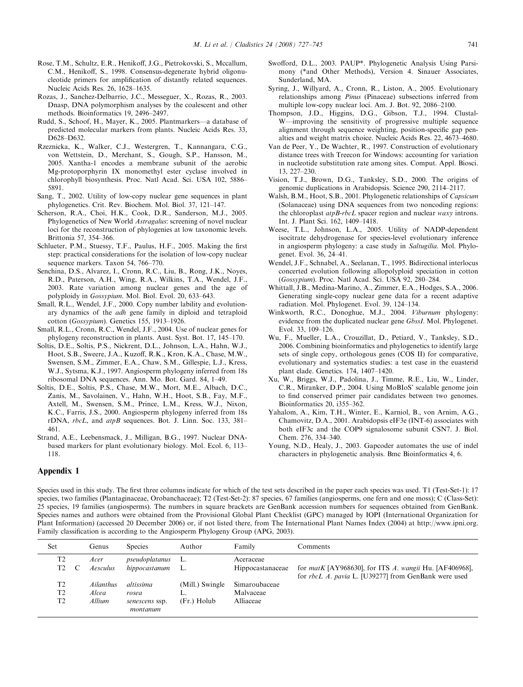- Rose, T.M., Schultz, E.R., Henikoff, J.G., Pietrokovski, S., Mccallum, C.M., Henikoff, S., 1998. Consensus-degenerate hybrid oligonucleotide primers for amplification of distantly related sequences. Nucleic Acids Res. 26, 1628–1635.
- Rozas, J., Sanchez-Delbarrio, J.C., Messeguer, X., Rozas, R., 2003. Dnasp, DNA polymorphism analyses by the coalescent and other methods. Bioinformatics 19, 2496–2497.
- Rudd, S., Schoof, H., Mayer, K., 2005. Plantmarkers—a database of predicted molecular markers from plants. Nucleic Acids Res. 33, D628–D632.
- Rzeznicka, K., Walker, C.J., Westergren, T., Kannangara, C.G., von Wettstein, D., Merchant, S., Gough, S.P., Hansson, M., 2005. Xantha-1 encodes a membrane subunit of the aerobic Mg-protoporphyrin IX monomethyl ester cyclase involved in chlorophyll biosynthesis. Proc. Natl Acad. Sci. USA 102, 5886– 5891.
- Sang, T., 2002. Utility of low-copy nuclear gene sequences in plant phylogenetics. Crit. Rev. Biochem. Mol. Biol. 37, 121–147.
- Scherson, R.A., Choi, H.K., Cook, D.R., Sanderson, M.J., 2005. Phylogenetics of New World Astragalus: screening of novel nuclear loci for the reconstruction of phylogenies at low taxonomic levels. Brittonia 57, 354–366.
- Schlueter, P.M., Stuessy, T.F., Paulus, H.F., 2005. Making the first step: practical considerations for the isolation of low-copy nuclear sequence markers. Taxon 54, 766–770.
- Senchina, D.S., Alvarez, I., Cronn, R.C., Liu, B., Rong, J.K., Noyes, R.D., Paterson, A.H., Wing, R.A., Wilkins, T.A., Wendel, J.F., 2003. Rate variation among nuclear genes and the age of polyploidy in Gossypium. Mol. Biol. Evol. 20, 633–643.
- Small, R.L., Wendel, J.F., 2000. Copy number lability and evolutionary dynamics of the *adh* gene family in diploid and tetraploid cotton (Gossypium). Genetics 155, 1913–1926.
- Small, R.L., Cronn, R.C., Wendel, J.F., 2004. Use of nuclear genes for phylogeny reconstruction in plants. Aust. Syst. Bot. 17, 145–170.
- Soltis, D.E., Soltis, P.S., Nickrent, D.L., Johnson, L.A., Hahn, W.J., Hoot, S.B., Sweere, J.A., Kuzoff, R.K., Kron, K.A., Chase, M.W., Swensen, S.M., Zimmer, E.A., Chaw, S.M., Gillespie, L.J., Kress, W.J., Sytsma, K.J., 1997. Angiosperm phylogeny inferred from 18s ribosomal DNA sequences. Ann. Mo. Bot. Gard. 84, 1–49.
- Soltis, D.E., Soltis, P.S., Chase, M.W., Mort, M.E., Albach, D.C., Zanis, M., Savolainen, V., Hahn, W.H., Hoot, S.B., Fay, M.F., Axtell, M., Swensen, S.M., Prince, L.M., Kress, W.J., Nixon, K.C., Farris, J.S., 2000. Angiosperm phylogeny inferred from 18s rDNA, rbcL, and atpB sequences. Bot. J. Linn. Soc. 133, 381-461.
- Strand, A.E., Leebensmack, J., Milligan, B.G., 1997. Nuclear DNAbased markers for plant evolutionary biology. Mol. Ecol. 6, 113– 118.
- Swofford, D.L., 2003. PAUP\*. Phylogenetic Analysis Using Parsimony (\*and Other Methods), Version 4. Sinauer Associates, Sunderland, MA.
- Syring, J., Willyard, A., Cronn, R., Liston, A., 2005. Evolutionary relationships among Pinus (Pinaceae) subsections inferred from multiple low-copy nuclear loci. Am. J. Bot. 92, 2086–2100.
- Thompson, J.D., Higgins, D.G., Gibson, T.J., 1994. Clustal-W—improving the sensitivity of progressive multiple sequence alignment through sequence weighting, position-specific gap penalties and weight matrix choice. Nucleic Acids Res. 22, 4673–4680.
- Van de Peer, Y., De Wachter, R., 1997. Construction of evolutionary distance trees with Treecon for Windows: accounting for variation in nucleotide substitution rate among sites. Comput. Appl. Biosci. 13, 227–230.
- Vision, T.J., Brown, D.G., Tanksley, S.D., 2000. The origins of genomic duplications in Arabidopsis. Science 290, 2114–2117.
- Walsh, B.M., Hoot, S.B., 2001. Phylogenetic relationships of Capsicum (Solanaceae) using DNA sequences from two noncoding regions: the chloroplast  $atpB$ -rbcL spacer region and nuclear waxy introns. Int. J. Plant Sci. 162, 1409–1418.
- Weese, T.L., Johnson, L.A., 2005. Utility of NADP-dependent isocitrate dehydrogenase for species-level evolutionary inference in angiosperm phylogeny: a case study in Saltugilia. Mol. Phylogenet. Evol. 36, 24–41.
- Wendel, J.F., Schnabel, A., Seelanan, T., 1995. Bidirectional interlocus concerted evolution following allopolyploid speciation in cotton (Gossypium). Proc. Natl Acad. Sci. USA 92, 280–284.
- Whittall, J.B., Medina-Marino, A., Zimmer, E.A., Hodges, S.A., 2006. Generating single-copy nuclear gene data for a recent adaptive radiation. Mol. Phylogenet. Evol. 39, 124–134.
- Winkworth, R.C., Donoghue, M.J., 2004. Viburnum phylogeny: evidence from the duplicated nuclear gene GbssI. Mol. Phylogenet. Evol. 33, 109–126.
- Wu, F., Mueller, L.A., Crouzillat, D., Petiard, V., Tanksley, S.D., 2006. Combining bioinformatics and phylogenetics to identify large sets of single copy, orthologous genes (COS II) for comparative, evolutionary and systematics studies: a test case in the euasterid plant clade. Genetics. 174, 1407–1420.
- Xu, W., Briggs, W.J., Padolina, J., Timme, R.E., Liu, W., Linder, C.R., Miranker, D.P., 2004. Using MoBIoS' scalable genome join to find conserved primer pair candidates between two genomes. Bioinformatics 20, i355–362.
- Yahalom, A., Kim, T.H., Winter, E., Karniol, B., von Arnim, A.G., Chamovitz, D.A., 2001. Arabidopsis eIF3e (INT-6) associates with both eIF3c and the COP9 signalosome subunit CSN7. J. Biol. Chem. 276, 334–340.
- Young, N.D., Healy, J., 2003. Gapcoder automates the use of indel characters in phylogenetic analysis. Bmc Bioinformatics 4, 6.

Species used in this study. The first three columns indicate for which of the test sets described in the paper each species was used. T1 (Test-Set-1): 17 species, two families (Plantaginaceae, Orobanchaceae); T2 (Test-Set-2): 87 species, 67 families (angiosperms, one fern and one moss); C (Class-Set): 25 species, 19 families (angiosperms). The numbers in square brackets are GenBank accession numbers for sequences obtained from GenBank. Species names and authors were obtained from the Provisional Global Plant Checklist (GPC) managed by IOPI (International Organization for Plant Information) (accessed 20 December 2006) or, if not listed there, from The International Plant Names Index (2004) at http://www.ipni.org. Family classification is according to the Angiosperm Phylogeny Group (APG, 2003).

| Set            | Genus            | <b>Species</b> | Author          | Family           | Comments                                                    |
|----------------|------------------|----------------|-----------------|------------------|-------------------------------------------------------------|
| T <sub>2</sub> | Acer             | pseudoplatanus | L.              | Aceraceae        |                                                             |
| T2             | Aesculus         | hippocastanum  | L.              | Hippocastanaceae | for matK [AY968630], for ITS A. wangii Hu. [AF406968],      |
|                |                  |                |                 |                  | for <i>rbcL A. pavia L.</i> [U39277] from GenBank were used |
| T <sub>2</sub> | <i>Ailanthus</i> | altissima      | (Mill.) Swingle | Simaroubaceae    |                                                             |
| T2             | Alcea            | rosea          | L.              | Malvaceae        |                                                             |
| T <sub>2</sub> | Allium           | senescens ssp. | (Fr.) Holub     | Alliaceae        |                                                             |
|                |                  | montanum       |                 |                  |                                                             |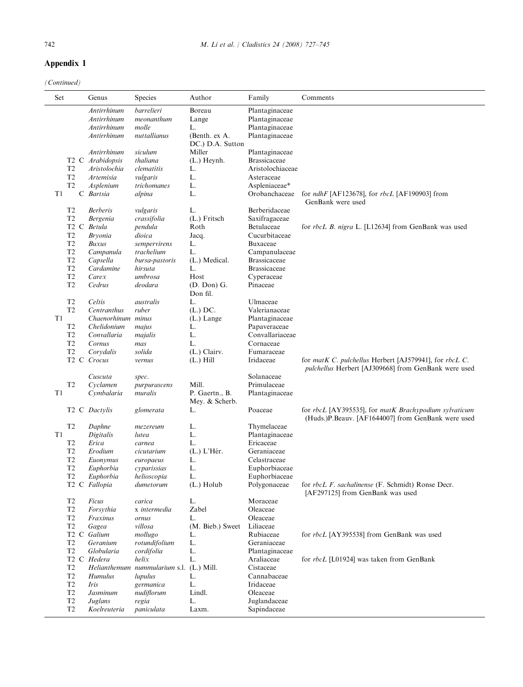| Set            |                                  | Genus                     | Species                       | Author                           | Family                         | Comments                                                                                                       |
|----------------|----------------------------------|---------------------------|-------------------------------|----------------------------------|--------------------------------|----------------------------------------------------------------------------------------------------------------|
|                |                                  | Antirrhinum               | barrelieri                    | Boreau                           | Plantaginaceae                 |                                                                                                                |
|                |                                  | Antirrhinum               | meonanthum                    | Lange                            | Plantaginaceae                 |                                                                                                                |
|                |                                  | Antirrhinum               | molle                         | L.                               | Plantaginaceae                 |                                                                                                                |
|                |                                  | Antirrhinum               | nuttallianus                  | (Benth. ex A.                    | Plantaginaceae                 |                                                                                                                |
|                |                                  |                           |                               | DC.) D.A. Sutton                 |                                |                                                                                                                |
|                |                                  | Antirrhinum               | siculum                       | Miller                           | Plantaginaceae                 |                                                                                                                |
|                |                                  | T2 C Arabidopsis          | thaliana                      | $(L.)$ Heynh.                    | <b>Brassicaceae</b>            |                                                                                                                |
|                | T <sub>2</sub><br>T <sub>2</sub> | Aristolochia<br>Artemisia | clematitis                    | L.<br>L.                         | Aristolochiaceae<br>Asteraceae |                                                                                                                |
|                | T <sub>2</sub>                   |                           | vulgaris<br>trichomanes       | L.                               |                                |                                                                                                                |
| T <sub>1</sub> |                                  | Asplenium<br>C Bartsia    | alpina                        | L.                               | Aspleniaceae*<br>Orobanchaceae | for $ndhF$ [AF123678], for $rbcL$ [AF190903] from                                                              |
|                |                                  |                           |                               |                                  |                                | GenBank were used                                                                                              |
|                | T <sub>2</sub>                   | <b>Berberis</b>           | vulgaris                      | L.                               | Berberidaceae                  |                                                                                                                |
|                | T <sub>2</sub>                   | <b>Bergenia</b>           | crassifolia                   | (L.) Fritsch                     | Saxifragaceae                  |                                                                                                                |
|                |                                  | T <sub>2</sub> C Betula   | pendula                       | Roth                             | Betulaceae                     | for rbcL B. nigra L. [L12634] from GenBank was used                                                            |
|                | T <sub>2</sub>                   | <b>Bryonia</b>            | dioica                        | Jacq.                            | Cucurbitaceae                  |                                                                                                                |
|                | T <sub>2</sub>                   | Buxus                     | sempervirens                  | L.                               | Buxaceae                       |                                                                                                                |
|                | T <sub>2</sub>                   | Campanula                 | trachelium                    | L.                               | Campanulaceae                  |                                                                                                                |
|                | T2                               | Capsella                  | bursa-pastoris                | (L.) Medical.                    | <b>Brassicaceae</b>            |                                                                                                                |
|                | T <sub>2</sub>                   | Cardamine                 | hirsuta                       | L.                               | <b>Brassicaceae</b>            |                                                                                                                |
|                | T <sub>2</sub>                   | Carex                     | umbrosa                       | Host                             | Cyperaceae                     |                                                                                                                |
|                | T <sub>2</sub>                   | Cedrus                    | deodara                       | (D. Don) G.<br>Don fil.          | Pinaceae                       |                                                                                                                |
|                | T <sub>2</sub>                   | Celtis                    | australis                     | L.                               | Ulmaceae                       |                                                                                                                |
|                | T <sub>2</sub>                   | Centranthus               | ruber                         | $(L.)$ DC.                       | Valerianaceae                  |                                                                                                                |
| T <sub>1</sub> |                                  | Chaenorhinum minus        |                               | $(L.)$ Lange                     | Plantaginaceae                 |                                                                                                                |
|                | T <sub>2</sub>                   | Chelidonium               | majus                         | L.                               | Papaveraceae                   |                                                                                                                |
|                | T <sub>2</sub>                   | Convallaria               | majalis                       | L.                               | Convallariaceae                |                                                                                                                |
|                | T <sub>2</sub>                   | Cornus                    | mas                           | L.                               | Cornaceae                      |                                                                                                                |
|                | T <sub>2</sub>                   | Corydalis                 | solida                        | (L.) Clairv.                     | Fumaraceae                     |                                                                                                                |
|                |                                  | T <sub>2</sub> C Crocus   | vernus                        | $(L.)$ Hill                      | Iridaceae                      | for matK C. pulchellus Herbert [AJ579941], for rbcL C.<br>pulchellus Herbert [AJ309668] from GenBank were used |
|                |                                  | Cuscuta                   | spec.                         |                                  | Solanaceae                     |                                                                                                                |
| T1             | T <sub>2</sub>                   | Cyclamen                  | purpurascens                  | Mill.                            | Primulaceae                    |                                                                                                                |
|                |                                  | Cymbalaria                | muralis                       | P. Gaertn., B.<br>Mey. & Scherb. | Plantaginaceae                 |                                                                                                                |
|                |                                  | T2 C Dactylis             | glomerata                     | L.                               | Poaceae                        | for rbcL [AY395535], for matK Brachypodium sylvaticum                                                          |
|                |                                  |                           |                               |                                  |                                | (Huds.)P.Beauv. [AF1644007] from GenBank were used                                                             |
|                | T <sub>2</sub>                   | Daphne                    | mezereum                      | L.                               | Thymelaceae                    |                                                                                                                |
| T <sub>1</sub> |                                  | Digitalis                 | lutea                         | L.                               | Plantaginaceae                 |                                                                                                                |
|                | T <sub>2</sub>                   | Erica                     | carnea                        | L.                               | Ericaceae                      |                                                                                                                |
|                | T <sub>2</sub>                   | Erodium                   | cicutarium                    | (L.) L'Hér.                      | Geraniaceae                    |                                                                                                                |
|                | T <sub>2</sub><br>T <sub>2</sub> | Euonymus                  | europaeus                     | L.<br>L.                         | Celastraceae                   |                                                                                                                |
|                | T <sub>2</sub>                   | Euphorbia<br>Euphorbia    | cyparissias<br>helioscopia    | L.                               | Euphorbiaceae<br>Euphorbiaceae |                                                                                                                |
|                |                                  | T2 C Fallopia             | dumetorum                     | $(L.)$ Holub                     |                                | for rbcL F. sachalinense (F. Schmidt) Ronse Decr.                                                              |
|                |                                  |                           |                               |                                  | Polygonaceae                   | [AF297125] from GenBank was used                                                                               |
|                | T <sub>2</sub>                   | Ficus                     | carica                        | L.                               | Moraceae                       |                                                                                                                |
|                | T <sub>2</sub>                   | Forsythia                 | x intermedia                  | Zabel                            | Oleaceae                       |                                                                                                                |
|                | T <sub>2</sub>                   | Fraxinus                  | ornus                         | L.                               | Oleaceae                       |                                                                                                                |
|                | T <sub>2</sub>                   | Gagea                     | villosa                       | (M. Bieb.) Sweet                 | Liliaceae                      |                                                                                                                |
|                |                                  | T2 C Galium               | mollugo                       | L.                               | Rubiaceae                      | for rbcL [AY395538] from GenBank was used                                                                      |
|                | T <sub>2</sub>                   | Geranium                  | rotundifolium                 | L.                               | Geraniaceae                    |                                                                                                                |
|                | T <sub>2</sub>                   | Globularia                | cordifolia                    | L.                               | Plantaginaceae                 |                                                                                                                |
|                |                                  | T <sub>2</sub> C Hedera   | helix                         | L.                               | Araliaceae                     | for rbcL [L01924] was taken from GenBank                                                                       |
|                | T <sub>2</sub>                   |                           | Helianthemum nummularium s.l. | $(L.)$ Mill.                     | Cistaceae                      |                                                                                                                |
|                | T <sub>2</sub>                   | <b>Humulus</b>            | lupulus                       | L.                               | Cannabaceae                    |                                                                                                                |
|                | T <sub>2</sub>                   | Iris                      | germanica                     | L.                               | Iridaceae                      |                                                                                                                |
|                | T <sub>2</sub><br>T <sub>2</sub> | Jasminum                  | nudiflorum                    | Lindl.                           | Oleaceae                       |                                                                                                                |
|                | T <sub>2</sub>                   | Juglans<br>Koelreuteria   | regia<br>paniculata           | L.<br>Laxm.                      | Juglandaceae<br>Sapindaceae    |                                                                                                                |
|                |                                  |                           |                               |                                  |                                |                                                                                                                |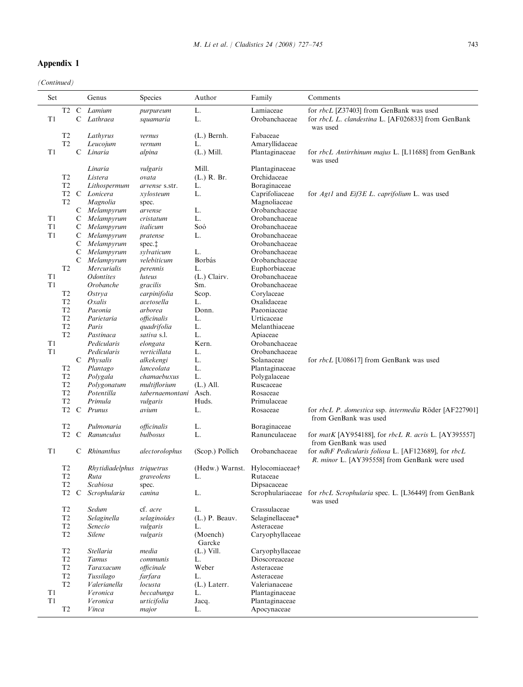(Continued)

| Set |                                  |             | Genus                    | Species                 | Author               | Family                          | Comments                                                                                              |
|-----|----------------------------------|-------------|--------------------------|-------------------------|----------------------|---------------------------------|-------------------------------------------------------------------------------------------------------|
|     |                                  |             | T2 C Lamium              | purpureum               | L.                   | Lamiaceae                       | for rbcL [Z37403] from GenBank was used                                                               |
| T1  |                                  |             | C Lathraea               | squamaria               | L.                   | Orobanchaceae                   | for rbcL L. clandestina L. [AF026833] from GenBank<br>was used                                        |
|     | T <sub>2</sub>                   |             | Lathyrus                 | vernus                  | $(L.)$ Bernh.        | Fabaceae                        |                                                                                                       |
|     | T <sub>2</sub>                   |             | Leucojum                 | vernum                  | L.                   | Amaryllidaceae                  |                                                                                                       |
| T1  |                                  |             | C Linaria                | alpina                  | $(L.)$ Mill.         | Plantaginaceae                  | for rbcL Antirrhinum majus L. [L11688] from GenBank<br>was used                                       |
|     |                                  |             | Linaria                  | vulgaris                | Mill.                | Plantaginaceae                  |                                                                                                       |
|     | T <sub>2</sub>                   |             | Listera                  | ovata                   | $(L.)$ R. Br.        | Orchidaceae                     |                                                                                                       |
|     | T <sub>2</sub>                   |             | Lithospermum             | arvense s.str.          | L.                   | Boraginaceae                    |                                                                                                       |
|     | T2                               |             | C Lonicera               | xylosteum               | L.                   | Caprifoliaceae                  | for Agt1 and Eif3E L. caprifolium L. was used                                                         |
|     | T <sub>2</sub>                   |             | Magnolia<br>C Melampyrum | spec.                   | L.                   | Magnoliaceae<br>Orobanchaceae   |                                                                                                       |
| T1  |                                  |             | C Melampyrum             | arvense<br>cristatum    | L.                   | Orobanchaceae                   |                                                                                                       |
| T1  |                                  |             | C Melampyrum             | italicum                | Soó                  | Orobanchaceae                   |                                                                                                       |
| T1  |                                  |             | C Melampyrum             | pratense                | L.                   | Orobanchaceae                   |                                                                                                       |
|     |                                  |             | C Melampyrum             | spec. $\ddagger$        |                      | Orobanchaceae                   |                                                                                                       |
|     |                                  | C           | Melampyrum               | sylvaticum              | L.                   | Orobanchaceae                   |                                                                                                       |
|     |                                  |             | C Melampyrum             | velebiticum             | Borbás               | Orobanchaceae                   |                                                                                                       |
|     | T <sub>2</sub>                   |             | Mercurialis              | perennis                | L.                   | Euphorbiaceae                   |                                                                                                       |
| T1  |                                  |             | <i><b>Odontites</b></i>  | luteus                  | (L.) Clairv.         | Orobanchaceae                   |                                                                                                       |
| T1  |                                  |             | Orobanche                | gracilis                | Sm.                  | Orobanchaceae                   |                                                                                                       |
|     | T <sub>2</sub>                   |             | Ostrya                   | carpinifolia            | Scop.                | Corylaceae                      |                                                                                                       |
|     | T <sub>2</sub>                   |             | Oxalis                   | acetosella              | L.                   | Oxalidaceae                     |                                                                                                       |
|     | T <sub>2</sub>                   |             | Paeonia                  | arborea                 | Donn.                | Paeoniaceae                     |                                                                                                       |
|     | T <sub>2</sub>                   |             | Parietaria               | officinalis             | L.                   | Urticaceae                      |                                                                                                       |
|     | T <sub>2</sub><br>T <sub>2</sub> |             | Paris                    | quadrifolia             | L.<br>L.             | Melanthiaceae                   |                                                                                                       |
| T1  |                                  |             | Pastinaca<br>Pedicularis | sativa s.l.<br>elongata | Kern.                | Apiaceae<br>Orobanchaceae       |                                                                                                       |
| T1  |                                  |             | Pedicularis              | verticillata            | L.                   | Orobanchaceae                   |                                                                                                       |
|     |                                  |             | C Physalis               | alkekengi               | L.                   | Solanaceae                      | for rbcL [U08617] from GenBank was used                                                               |
|     | T <sub>2</sub>                   |             | Plantago                 | lanceolata              | L.                   | Plantaginaceae                  |                                                                                                       |
|     | T <sub>2</sub>                   |             | Polygala                 | chamaebuxus             | L.                   | Polygalaceae                    |                                                                                                       |
|     | T <sub>2</sub>                   |             | Polygonatum              | multiflorium            | $(L.)$ All.          | Ruscaceae                       |                                                                                                       |
|     | T <sub>2</sub>                   |             | Potentilla               | tabernaemontani Asch.   |                      | Rosaceae                        |                                                                                                       |
|     | T <sub>2</sub>                   |             | Primula                  | vulgaris                | Huds.                | Primulaceae                     |                                                                                                       |
|     | T2                               |             | C Prunus                 | avium                   | L.                   | Rosaceae                        | for rbcL P. domestica ssp. intermedia Röder [AF227901]<br>from GenBank was used                       |
|     | T <sub>2</sub>                   |             | Pulmonaria               | officinalis             | L.                   | Boraginaceae                    |                                                                                                       |
|     | T <sub>2</sub>                   | $\mathbf C$ | Ranunculus               | bulbosus                | L.                   | Ranunculaceae                   | for matK [AY954188], for rbcL R. acris L. [AY395557]                                                  |
|     |                                  |             |                          |                         |                      |                                 | from GenBank was used                                                                                 |
| T1  |                                  |             | C Rhinanthus             | alectorolophus          | (Scop.) Pollich      | Orobanchaceae                   | for ndhF Pedicularis foliosa L. [AF123689], for rbcL<br>R. minor L. [AY395558] from GenBank were used |
|     | T <sub>2</sub>                   |             | Rhytidiadelphus          | triquetrus              | (Hedw.) Warnst.      | Hylocomiaceae†                  |                                                                                                       |
|     | T <sub>2</sub>                   |             | Ruta                     | graveolens              | L.                   | Rutaceae                        |                                                                                                       |
|     | T2                               |             | Scabiosa                 | spec.                   |                      | Dipsacaceae                     |                                                                                                       |
|     | T <sub>2</sub> C                 |             | Scrophularia             | canina                  | L.                   |                                 | Scrophulariaceae for rbcL Scrophularia spec. L. [L36449] from GenBank<br>was used                     |
|     | T <sub>2</sub>                   |             | Sedum                    | cf. acre                | L.                   | Crassulaceae                    |                                                                                                       |
|     | $\mathbf{T}2$                    |             | Selaginella              | selaginoides            | $(L.)$ P. Beauv.     | Selaginellaceae*                |                                                                                                       |
|     | T <sub>2</sub>                   |             | Senecio                  | vulgaris                | L.                   | Asteraceae                      |                                                                                                       |
|     | $\mathbf{T}2$                    |             | Silene                   | vulgaris                | (Moench)<br>Garcke   | Caryophyllaceae                 |                                                                                                       |
|     | T <sub>2</sub>                   |             | <b>Stellaria</b>         | media                   | $(L.)$ Vill.         | Caryophyllaceae                 |                                                                                                       |
|     | T <sub>2</sub>                   |             | Tamus                    | communis                | L.                   | Dioscoreaceae                   |                                                                                                       |
|     | $\mathbf{T}2$                    |             | Taraxacum                | officinale              | Weber                | Asteraceae                      |                                                                                                       |
|     | $\mathbf{T}2$                    |             | Tussilago                | farfara                 | L.                   | Asteraceae                      |                                                                                                       |
| T1  | $\mathbf{T}2$                    |             | Valerianella<br>Veronica | locusta<br>beccabunga   | $(L.)$ Laterr.<br>L. | Valerianaceae<br>Plantaginaceae |                                                                                                       |
| T1  |                                  |             | Veronica                 | urticifolia             | Jacq.                | Plantaginaceae                  |                                                                                                       |
|     | T <sub>2</sub>                   |             | Vinca                    | major                   | L.                   | Apocynaceae                     |                                                                                                       |
|     |                                  |             |                          |                         |                      |                                 |                                                                                                       |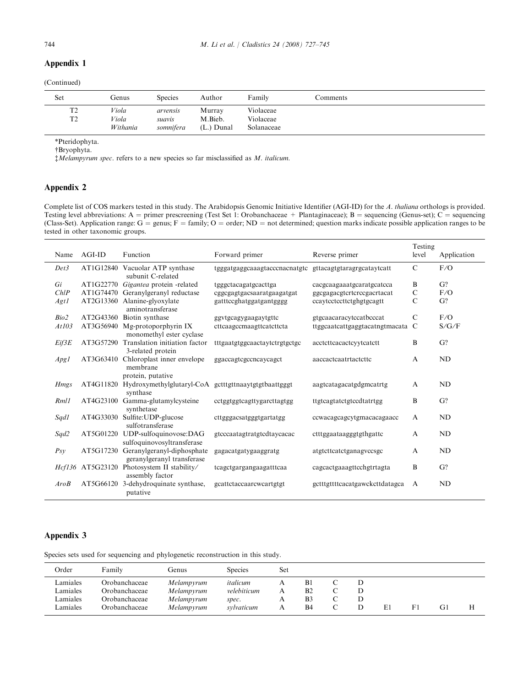(Continued)

| Set                              | Genus                      | <b>Species</b>                  | Author                            | Family                               | Comments |  |
|----------------------------------|----------------------------|---------------------------------|-----------------------------------|--------------------------------------|----------|--|
| T <sub>2</sub><br>T <sub>2</sub> | Viola<br>Viola<br>Withania | arvensis<br>suavis<br>somnifera | Murray<br>M.Bieb.<br>$(L.)$ Dunal | Violaceae<br>Violaceae<br>Solanaceae |          |  |

\*Pteridophyta.

-Bryophyta.

Melampyrum spec. refers to a new species so far misclassified as M. italicum.

## Appendix 2

Complete list of COS markers tested in this study. The Arabidopsis Genomic Initiative Identifier (AGI-ID) for the A. thaliana orthologs is provided. Testing level abbreviations: A = primer prescreening (Test Set 1: Orobanchaceae + Plantaginaceae); B = sequencing (Genus-set); C = sequencing (Class-Set). Application range:  $G =$  genus;  $F =$  family;  $O =$  order; ND = not determined; question marks indicate possible application ranges to be tested in other taxonomic groups.

|                          |           |                                                                            |                                                          |                                  | Testing       |             |
|--------------------------|-----------|----------------------------------------------------------------------------|----------------------------------------------------------|----------------------------------|---------------|-------------|
| Name                     | AGI-ID    | Function                                                                   | Forward primer                                           | Reverse primer                   | level         | Application |
| Det <sub>3</sub>         |           | AT1G12840 Vacuolar ATP synthase<br>subunit C-related                       | tgggatgaggcaaagtacccnacnatgtc gttacagtgtaragrgcataytcatt |                                  | $\mathcal{C}$ | F/O         |
| Gi                       |           | AT1G22770 Gigantea protein -related                                        | tgggctacagatgcacttga                                     | cacgcaagaaatgcaratgcatcca        | B             | $G$ ?       |
| ChIP                     |           | AT1G74470 Geranylgeranyl reductase                                         | cggcgagtgacsaaratgaagatgat                               | ggcgagacgtcrtcrccgacrtacat       | $\mathbf C$   | F/O         |
| Agt1                     |           | AT2G13360 Alanine-glyoxylate<br>aminotransferase                           | gatttccghatggatgantgggg                                  | ccaytcctccttctghgtgcagtt         | $\mathcal{C}$ | $G$ ?       |
| Bio2                     |           | AT2G43360 Biotin synthase                                                  | ggvtgcagygaagaytgttc                                     | gtgcaacaracytccatbcccat          | C             | F/O         |
| At103                    |           | AT3G56940 Mg-protoporphyrin IX<br>monomethyl ester cyclase                 | cttcaagccmaagttcatcttcta                                 | ttggcaatcattgaggtacatngtmacata C |               | S/G/F       |
| Eif3E                    |           | AT3G57290 Translation initiation factor<br>3-related protein               | tttgaatgtggcaactaytctrgtgctgc                            | acctcttcacactcyytcatctt          | В             | $G$ ?       |
| Apgl                     | AT3G63410 | Chloroplast inner envelope<br>membrane<br>protein, putative                | ggaccagtcgccncaycagct                                    | aaccactcaatrtactcttc             | A             | ND          |
| <b>H</b> mg <sub>s</sub> |           | AT4G11820 Hydroxymethylglutaryl-CoA gctttgttnaaytgtgtbaattgggt<br>synthase |                                                          | aagtcatagacatgdgmcatrtg          | A             | <b>ND</b>   |
| Rml1                     |           | AT4G23100 Gamma-glutamylcysteine<br>synthetase                             | cctggtggtcagttygarcttagtgg                               | ttgtcagtatctgtccdtatrtgg         | B             | $G$ ?       |
| Sqd1                     |           | AT4G33030 Sulfite: UDP-glucose<br>sulfotransferase                         | cttgggacsatgggtgartatgg                                  | ccwacagcagcytgmacacagaacc        | A             | <b>ND</b>   |
| Sqd2                     |           | AT5G01220 UDP-sulfoquinovose:DAG<br>sulfoquinovosyltransferase             | gtcccaatagtratgtcdtaycacac                               | ctttggaataagggtgthgattc          | A             | ND          |
| Psv                      |           | AT5G17230 Geranylgeranyl-diphosphate<br>geranylgeranyl transferase         | gagacatgatygaaggratg                                     | atgtcttcatctganagyccsgc          | A             | <b>ND</b>   |
|                          |           | Hcf136 AT5G23120 Photosystem II stability/<br>assembly factor              | tcagctgargangaagatttcaa                                  | cagcactgaaagttcchgtrtagta        | B             | $G$ ?       |
| $A$ ro $B$               | AT5G66120 | 3-dehydroquinate synthase,<br>putative                                     | gcattctaccaarcwcartgtgt                                  | gctttgttttcacatgawckcttdatagca   | A             | <b>ND</b>   |

## Appendix 3

Species sets used for sequencing and phylogenetic reconstruction in this study.

| Order                                        | Family                                                           | Genus                                                | <b>Species</b>                                 | Set         |                                  |  |    |    |   |
|----------------------------------------------|------------------------------------------------------------------|------------------------------------------------------|------------------------------------------------|-------------|----------------------------------|--|----|----|---|
| Lamiales<br>Lamiales<br>Lamiales<br>Lamiales | Orobanchaceae<br>Orobanchaceae<br>Orobanchaceae<br>Orobanchaceae | Melampyrum<br>Melampyrum<br>Melampyrum<br>Melampyrum | italicum<br>velebiticum<br>spec.<br>sylvaticum | A<br>A<br>A | B1<br>B2<br>B3<br>B <sub>4</sub> |  | E1 | G1 | Н |